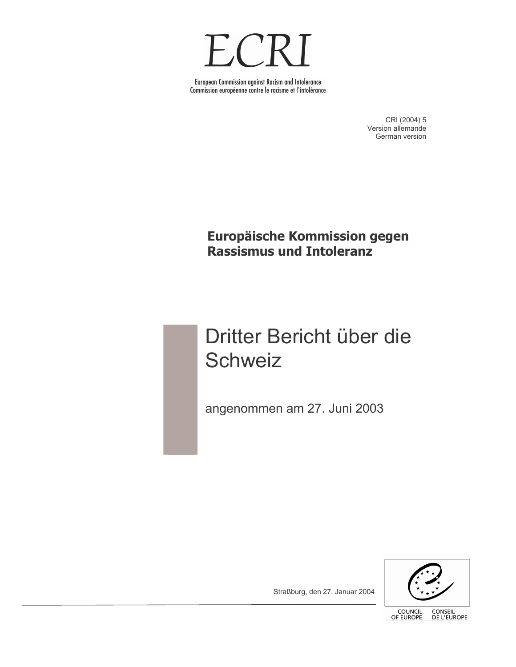

European Commission against Racism and Intolerance Commission européenne contre le racisme et l'intolérance

> CRI (2004) 5 Version allemande German version

Europäische Kommission gegen Rassismus und Intoleranz

# Dritter Bericht über die Schweiz

angenommen am 27. Juni 2003



Straßburg, den 27. Januar 2004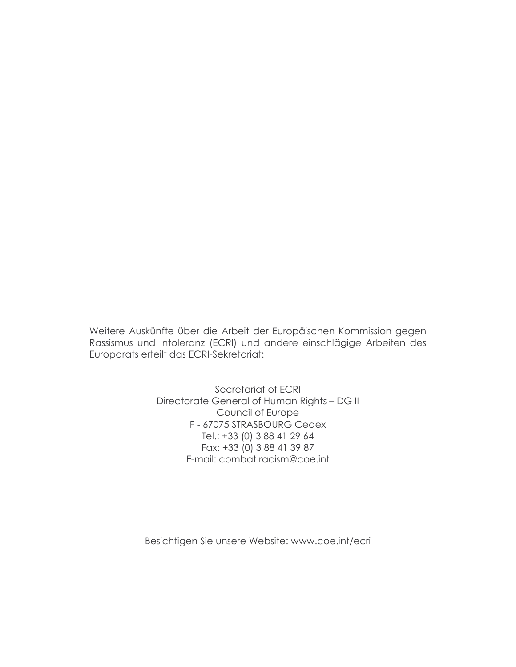Weitere Auskünfte über die Arbeit der Europäischen Kommission gegen Rassismus und Intoleranz (ECRI) und andere einschlägige Arbeiten des Europarats erteilt das ECRI-Sekretariat:

> Secretariat of ECRI Directorate General of Human Rights - DG II Council of Europe F-67075 STRASBOURG Cedex Tel.: +33 (0) 3 88 41 29 64 Fax: +33 (0) 3 88 41 39 87 E-mail: combat.racism@coe.int

Besichtigen Sie unsere Website: www.coe.int/ecri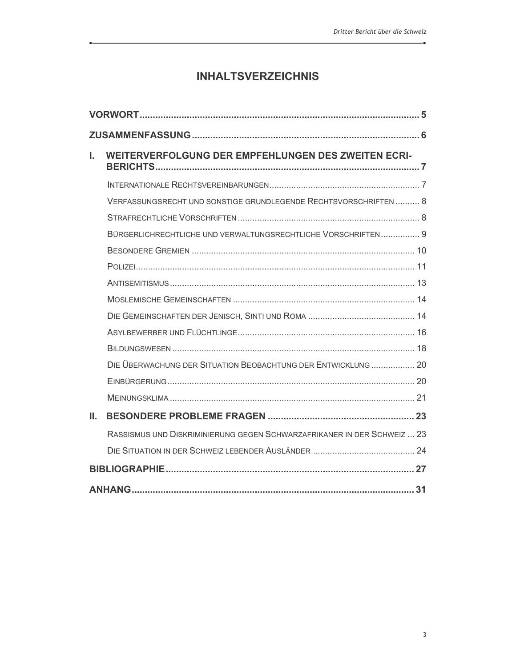## **INHALTSVERZEICHNIS**

| L. | <b>WEITERVERFOLGUNG DER EMPFEHLUNGEN DES ZWEITEN ECRI-</b>              |  |  |
|----|-------------------------------------------------------------------------|--|--|
|    |                                                                         |  |  |
|    | VERFASSUNGSRECHT UND SONSTIGE GRUNDLEGENDE RECHTSVORSCHRIFTEN 8         |  |  |
|    |                                                                         |  |  |
|    | BÜRGERLICHRECHTLICHE UND VERWALTUNGSRECHTLICHE VORSCHRIFTEN 9           |  |  |
|    |                                                                         |  |  |
|    |                                                                         |  |  |
|    |                                                                         |  |  |
|    |                                                                         |  |  |
|    |                                                                         |  |  |
|    |                                                                         |  |  |
|    |                                                                         |  |  |
|    | DIE ÜBERWACHUNG DER SITUATION BEOBACHTUNG DER ENTWICKLUNG  20           |  |  |
|    |                                                                         |  |  |
|    |                                                                         |  |  |
| Ш. |                                                                         |  |  |
|    | RASSISMUS UND DISKRIMINIERUNG GEGEN SCHWARZAFRIKANER IN DER SCHWEIZ  23 |  |  |
|    |                                                                         |  |  |
|    |                                                                         |  |  |
|    |                                                                         |  |  |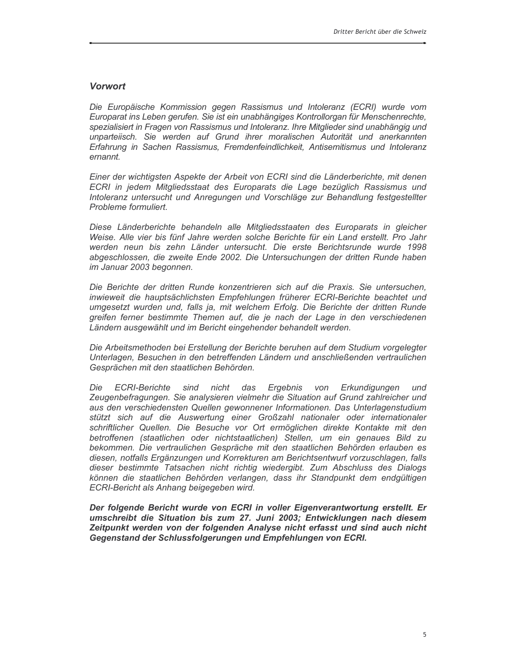#### **Vorwort**

Die Europäische Kommission gegen Rassismus und Intoleranz (ECRI) wurde vom Europarat ins Leben gerufen. Sie ist ein unabhängiges Kontrollorgan für Menschenrechte, spezialisiert in Fragen von Rassismus und Intoleranz. Ihre Mitglieder sind unabhängig und unparteiisch. Sie werden auf Grund ihrer moralischen Autorität und anerkannten Erfahrung in Sachen Rassismus, Fremdenfeindlichkeit, Antisemitismus und Intoleranz ernannt.

Einer der wichtigsten Aspekte der Arbeit von ECRI sind die Länderberichte, mit denen ECRI in jedem Mitgliedsstaat des Europarats die Lage bezüglich Rassismus und Intoleranz untersucht und Anregungen und Vorschläge zur Behandlung festgestellter Probleme formuliert.

Diese Länderberichte behandeln alle Mitgliedsstaaten des Europarats in gleicher Weise. Alle vier bis fünf Jahre werden solche Berichte für ein Land erstellt. Pro Jahr werden neun bis zehn Länder untersucht. Die erste Berichtsrunde wurde 1998 abgeschlossen, die zweite Ende 2002. Die Untersuchungen der dritten Runde haben im Januar 2003 begonnen.

Die Berichte der dritten Runde konzentrieren sich auf die Praxis. Sie untersuchen, inwieweit die hauptsächlichsten Empfehlungen früherer ECRI-Berichte beachtet und umgesetzt wurden und, falls ja, mit welchem Erfolg. Die Berichte der dritten Runde greifen ferner bestimmte Themen auf, die je nach der Lage in den verschiedenen Ländern ausgewählt und im Bericht eingehender behandelt werden.

Die Arbeitsmethoden bei Erstellung der Berichte beruhen auf dem Studium vorgelegter Unterlagen, Besuchen in den betreffenden Ländern und anschließenden vertraulichen Gesprächen mit den staatlichen Behörden.

Die **ECRI-Berichte** sind nicht das Ergebnis von Erkundigungen und Zeugenbefragungen. Sie analysieren vielmehr die Situation auf Grund zahlreicher und aus den verschiedensten Quellen gewonnener Informationen. Das Unterlagenstudium stützt sich auf die Auswertung einer Großzahl nationaler oder internationaler schriftlicher Quellen. Die Besuche vor Ort ermöglichen direkte Kontakte mit den betroffenen (staatlichen oder nichtstaatlichen) Stellen, um ein genaues Bild zu bekommen. Die vertraulichen Gespräche mit den staatlichen Behörden erlauben es diesen, notfalls Ergänzungen und Korrekturen am Berichtsentwurf vorzuschlagen, falls dieser bestimmte Tatsachen nicht richtig wiedergibt. Zum Abschluss des Dialogs können die staatlichen Behörden verlangen, dass ihr Standpunkt dem endgültigen ECRI-Bericht als Anhang beigegeben wird.

Der folgende Bericht wurde von ECRI in voller Eigenverantwortung erstellt. Er umschreibt die Situation bis zum 27. Juni 2003; Entwicklungen nach diesem Zeitpunkt werden von der folgenden Analyse nicht erfasst und sind auch nicht Gegenstand der Schlussfolgerungen und Empfehlungen von ECRI.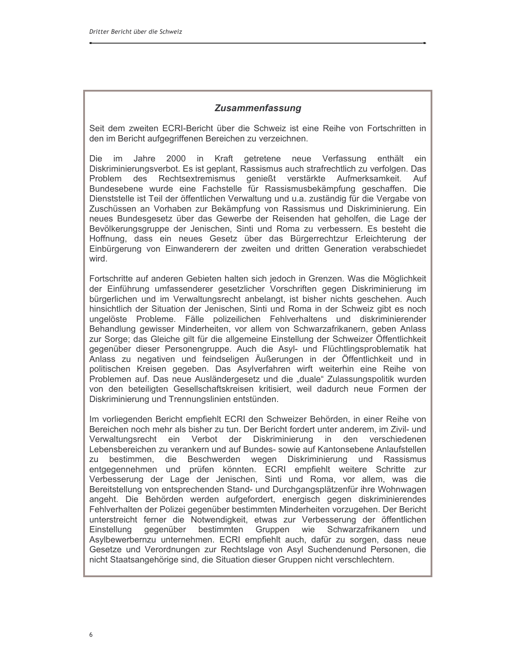## **Zusammenfassung**

Seit dem zweiten ECRI-Bericht über die Schweiz ist eine Reihe von Fortschritten in den im Bericht aufgegriffenen Bereichen zu verzeichnen.

Die im Jahre 2000 in Kraft getretene neue Verfassung enthält ein Diskriminierungsverbot. Es ist geplant, Rassismus auch strafrechtlich zu verfolgen. Das Problem des Rechtsextremismus genießt verstärkte Aufmerksamkeit. Auf Bundesebene wurde eine Fachstelle für Rassismusbekämpfung geschaffen. Die Dienststelle ist Teil der öffentlichen Verwaltung und u.a. zuständig für die Vergabe von Zuschüssen an Vorhaben zur Bekämpfung von Rassismus und Diskriminierung. Ein neues Bundesgesetz über das Gewerbe der Reisenden hat geholfen, die Lage der Bevölkerungsgruppe der Jenischen. Sinti und Roma zu verbessern. Es besteht die Hoffnung, dass ein neues Gesetz über das Bürgerrechtzur Erleichterung der Einbürgerung von Einwanderern der zweiten und dritten Generation verabschiedet wird.

Fortschritte auf anderen Gebieten halten sich jedoch in Grenzen. Was die Möglichkeit der Einführung umfassenderer gesetzlicher Vorschriften gegen Diskriminierung im bürgerlichen und im Verwaltungsrecht anbelangt, ist bisher nichts geschehen. Auch hinsichtlich der Situation der Jenischen, Sinti und Roma in der Schweiz gibt es noch ungelöste Probleme. Fälle polizeilichen Fehlverhaltens und diskriminierender Behandlung gewisser Minderheiten, vor allem von Schwarzafrikanern, geben Anlass zur Sorge; das Gleiche gilt für die allgemeine Einstellung der Schweizer Öffentlichkeit gegenüber dieser Personengruppe. Auch die Asyl- und Flüchtlingsproblematik hat Anlass zu negativen und feindseligen Äußerungen in der Öffentlichkeit und in politischen Kreisen gegeben. Das Asylverfahren wirft weiterhin eine Reihe von Problemen auf. Das neue Ausländergesetz und die "duale" Zulassungspolitik wurden von den beteiligten Gesellschaftskreisen kritisiert, weil dadurch neue Formen der Diskriminierung und Trennungslinien entstünden.

Im vorliegenden Bericht empfiehlt ECRI den Schweizer Behörden, in einer Reihe von Bereichen noch mehr als bisher zu tun. Der Bericht fordert unter anderem, im Zivil- und Verwaltungsrecht ein Verbot der Diskriminierung in den verschiedenen Lebensbereichen zu verankern und auf Bundes- sowie auf Kantonsebene Anlaufstellen zu bestimmen, die Beschwerden wegen Diskriminierung und Rassismus entgegennehmen und prüfen könnten. ECRI empfiehlt weitere Schritte zur Verbesserung der Lage der Jenischen, Sinti und Roma, vor allem, was die Bereitstellung von entsprechenden Stand- und Durchgangsplätzenfür ihre Wohnwagen angeht. Die Behörden werden aufgefordert, energisch gegen diskriminierendes Fehlverhalten der Polizei gegenüber bestimmten Minderheiten vorzugehen. Der Bericht unterstreicht ferner die Notwendigkeit, etwas zur Verbesserung der öffentlichen gegenüber bestimmten Gruppen wie Schwarzafrikanern Einstellung und Asylbewerbernzu unternehmen. ECRI empfiehlt auch, dafür zu sorgen, dass neue Gesetze und Verordnungen zur Rechtslage von Asyl Suchendenund Personen, die nicht Staatsangehörige sind, die Situation dieser Gruppen nicht verschlechtern.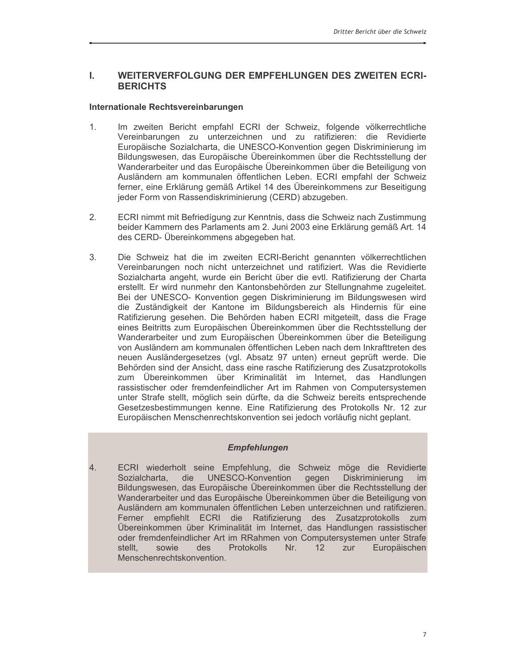#### L. WEITERVERFOLGUNG DER EMPFEHLUNGEN DES ZWEITEN ECRI-**BERICHTS**

#### Internationale Rechtsvereinbarungen

- $1<sub>1</sub>$ Im zweiten Bericht empfahl ECRI der Schweiz, folgende völkerrechtliche Vereinbarungen zu unterzeichnen und zu ratifizieren: die Revidierte Europäische Sozialcharta, die UNESCO-Konvention gegen Diskriminierung im Bildungswesen, das Europäische Übereinkommen über die Rechtsstellung der Wanderarbeiter und das Europäische Übereinkommen über die Beteiligung von Ausländern am kommunalen öffentlichen Leben. ECRI empfahl der Schweiz ferner, eine Erklärung gemäß Artikel 14 des Übereinkommens zur Beseitigung jeder Form von Rassendiskriminierung (CERD) abzugeben.
- $2.$ ECRI nimmt mit Befriedígung zur Kenntnis, dass die Schweiz nach Zustimmung beider Kammern des Parlaments am 2. Juni 2003 eine Erklärung gemäß Art. 14 des CERD- Übereinkommens abgegeben hat.
- 3. Die Schweiz hat die im zweiten ECRI-Bericht genannten völkerrechtlichen Vereinbarungen noch nicht unterzeichnet und ratifiziert. Was die Revidierte Sozialcharta angeht, wurde ein Bericht über die evtl. Ratifizierung der Charta erstellt. Er wird nunmehr den Kantonsbehörden zur Stellungnahme zugeleitet. Bei der UNESCO- Konvention gegen Diskriminierung im Bildungswesen wird die Zuständigkeit der Kantone im Bildungsbereich als Hindernis für eine Ratifizierung gesehen. Die Behörden haben ECRI mitgeteilt, dass die Frage eines Beitritts zum Europäischen Übereinkommen über die Rechtsstellung der Wanderarbeiter und zum Europäischen Übereinkommen über die Beteiligung von Ausländern am kommunalen öffentlichen Leben nach dem Inkrafttreten des neuen Ausländergesetzes (vgl. Absatz 97 unten) erneut geprüft werde. Die Behörden sind der Ansicht, dass eine rasche Ratifizierung des Zusatzprotokolls zum Übereinkommen über Kriminalität im Internet, das Handlungen rassistischer oder fremdenfeindlicher Art im Rahmen von Computersystemen unter Strafe stellt, möglich sein dürfte, da die Schweiz bereits entsprechende Gesetzesbestimmungen kenne. Eine Ratifizierung des Protokolls Nr. 12 zur Europäischen Menschenrechtskonvention sei jedoch vorläufig nicht geplant.

#### **Empfehlungen**

4. ECRI wiederholt seine Empfehlung, die Schweiz möge die Revidierte Sozialcharta, die UNESCO-Konvention gegen Diskriminierung im Bildungswesen, das Europäische Übereinkommen über die Rechtsstellung der Wanderarbeiter und das Europäische Übereinkommen über die Beteiligung von Ausländern am kommunalen öffentlichen Leben unterzeichnen und ratifizieren. Ferner empfiehlt ECRI die Ratifizierung des Zusatzprotokolls zum Übereinkommen über Kriminalität im Internet, das Handlungen rassistischer oder fremdenfeindlicher Art im RRahmen von Computersystemen unter Strafe **Protokolls** stellt. sowie des  $Nr_{n}$  $12$ zur Europäischen Menschenrechtskonvention.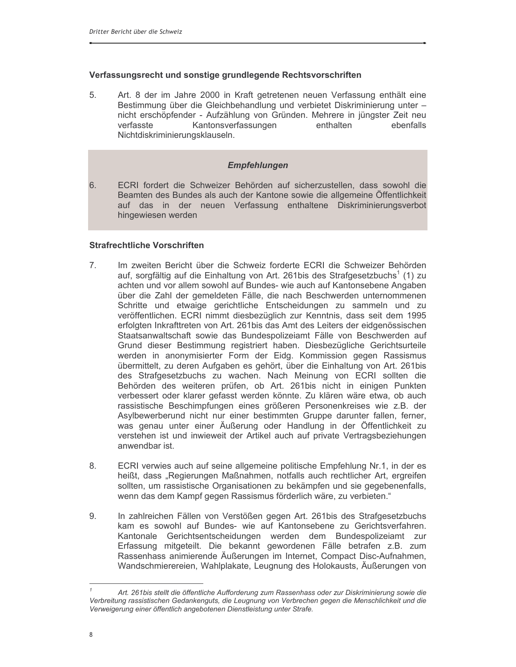#### Verfassungsrecht und sonstige grundlegende Rechtsvorschriften

5. Art. 8 der im Jahre 2000 in Kraft getretenen neuen Verfassung enthält eine Bestimmung über die Gleichbehandlung und verbietet Diskriminierung unter nicht erschöpfender - Aufzählung von Gründen. Mehrere in jüngster Zeit neu Kantonsverfassungen verfasste enthalten ebenfalls Nichtdiskriminierungsklauseln.

## **Empfehlungen**

ECRI fordert die Schweizer Behörden auf sicherzustellen, dass sowohl die 6. Beamten des Bundes als auch der Kantone sowie die allgemeine Öffentlichkeit auf das in der neuen Verfassung enthaltene Diskriminierungsverbot hingewiesen werden

#### **Strafrechtliche Vorschriften**

- $7<sub>1</sub>$ Im zweiten Bericht über die Schweiz forderte ECRI die Schweizer Behörden auf, sorgfältig auf die Einhaltung von Art. 261bis des Strafgesetzbuchs<sup>1</sup> (1) zu achten und vor allem sowohl auf Bundes- wie auch auf Kantonsebene Angaben über die Zahl der gemeldeten Fälle, die nach Beschwerden unternommenen Schritte und etwaige gerichtliche Entscheidungen zu sammeln und zu veröffentlichen. ECRI nimmt diesbezüglich zur Kenntnis, dass seit dem 1995 erfolgten Inkrafttreten von Art. 261bis das Amt des Leiters der eidgenössischen Staatsanwaltschaft sowie das Bundespolizeiamt Fälle von Beschwerden auf Grund dieser Bestimmung registriert haben. Diesbezügliche Gerichtsurteile werden in anonymisierter Form der Eidg. Kommission gegen Rassismus übermittelt, zu deren Aufgaben es gehört, über die Einhaltung von Art. 261bis des Strafgesetzbuchs zu wachen. Nach Meinung von ECRI sollten die Behörden des weiteren prüfen, ob Art. 261bis nicht in einigen Punkten verbessert oder klarer gefasst werden könnte. Zu klären wäre etwa, ob auch rassistische Beschimpfungen eines größeren Personenkreises wie z.B. der Asylbewerberund nicht nur einer bestimmten Gruppe darunter fallen, ferner, was genau unter einer Äußerung oder Handlung in der Öffentlichkeit zu verstehen ist und inwieweit der Artikel auch auf private Vertragsbeziehungen anwendbar ist.
- 8. ECRI verwies auch auf seine allgemeine politische Empfehlung Nr.1, in der es heißt, dass "Regierungen Maßnahmen, notfalls auch rechtlicher Art, ergreifen sollten, um rassistische Organisationen zu bekämpfen und sie gegebenenfalls, wenn das dem Kampf gegen Rassismus förderlich wäre, zu verbieten."
- 9. In zahlreichen Fällen von Verstößen gegen Art. 261bis des Strafgesetzbuchs kam es sowohl auf Bundes- wie auf Kantonsebene zu Gerichtsverfahren. Kantonale Gerichtsentscheidungen werden dem Bundespolizeiamt zur Erfassung mitgeteilt. Die bekannt gewordenen Fälle betrafen z.B. zum Rassenhass animierende Äußerungen im Internet, Compact Disc-Aufnahmen, Wandschmierereien, Wahlplakate, Leugnung des Holokausts, Äußerungen von

Art. 261bis stellt die öffentliche Aufforderung zum Rassenhass oder zur Diskriminierung sowie die Verbreitung rassistischen Gedankenguts, die Leugnung von Verbrechen gegen die Menschlichkeit und die Verweigerung einer öffentlich angebotenen Dienstleistung unter Strafe.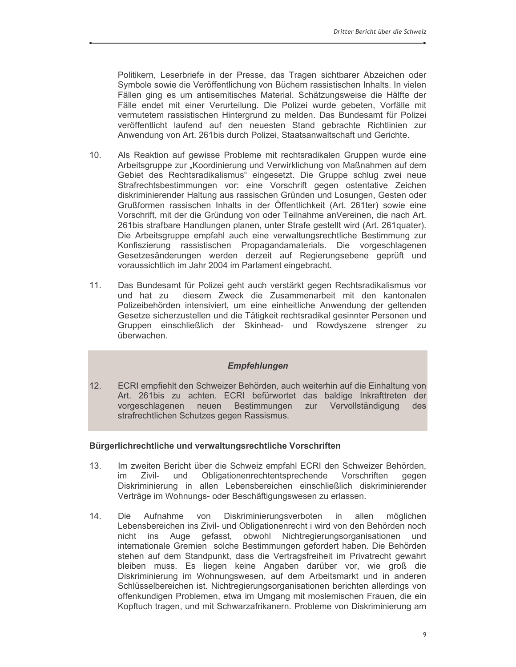Politikern, Leserbriefe in der Presse, das Tragen sichtbarer Abzeichen oder Symbole sowie die Veröffentlichung von Büchern rassistischen Inhalts. In vielen Fällen ging es um antisemitisches Material. Schätzungsweise die Hälfte der Fälle endet mit einer Verurteilung. Die Polizei wurde gebeten, Vorfälle mit vermutetem rassistischen Hintergrund zu melden. Das Bundesamt für Polizei veröffentlicht laufend auf den neuesten Stand gebrachte Richtlinien zur Anwendung von Art. 261bis durch Polizei, Staatsanwaltschaft und Gerichte.

- $10.$ Als Reaktion auf gewisse Probleme mit rechtsradikalen Gruppen wurde eine Arbeitsgruppe zur "Koordinierung und Verwirklichung von Maßnahmen auf dem Gebiet des Rechtsradikalismus" eingesetzt. Die Gruppe schlug zwei neue Strafrechtsbestimmungen vor: eine Vorschrift gegen ostentative Zeichen diskriminierender Haltung aus rassischen Gründen und Losungen, Gesten oder Grußformen rassischen Inhalts in der Öffentlichkeit (Art. 261ter) sowie eine Vorschrift, mit der die Gründung von oder Teilnahme anVereinen, die nach Art. 261bis strafbare Handlungen planen, unter Strafe gestellt wird (Art. 261quater). Die Arbeitsgruppe empfahl auch eine verwaltungsrechtliche Bestimmung zur Konfiszierung rassistischen Propagandamaterials. Die vorgeschlagenen Gesetzesänderungen werden derzeit auf Regierungsebene geprüft und voraussichtlich im Jahr 2004 im Parlament eingebracht.
- Das Bundesamt für Polizei geht auch verstärkt gegen Rechtsradikalismus vor  $11.$ und hat zu diesem Zweck die Zusammenarbeit mit den kantonalen Polizeibehörden intensiviert, um eine einheitliche Anwendung der geltenden Gesetze sicherzustellen und die Tätigkeit rechtsradikal gesinnter Personen und Gruppen einschließlich der Skinhead- und Rowdyszene strenger zu überwachen.

#### **Empfehlungen**

 $12.$ ECRI empfiehlt den Schweizer Behörden, auch weiterhin auf die Einhaltung von Art. 261bis zu achten. ECRI befürwortet das baldige Inkrafttreten der vorgeschlagenen neuen Bestimmungen zur Vervollständigung des strafrechtlichen Schutzes gegen Rassismus.

#### Bürgerlichrechtliche und verwaltungsrechtliche Vorschriften

- $13<sup>7</sup>$ Im zweiten Bericht über die Schweiz empfahl ECRI den Schweizer Behörden, und Obligationenrechtentsprechende Vorschriften im Zivilaeaen Diskriminierung in allen Lebensbereichen einschließlich diskriminierender Verträge im Wohnungs- oder Beschäftigungswesen zu erlassen.
- $14.$ Aufnahme Diskriminierungsverboten in allen Die von möglichen Lebensbereichen ins Zivil- und Obligationenrecht i wird von den Behörden noch nicht ins Auge gefasst, obwohl Nichtregierungsorganisationen und internationale Gremien solche Bestimmungen gefordert haben. Die Behörden stehen auf dem Standpunkt, dass die Vertragsfreiheit im Privatrecht gewahrt bleiben muss. Es liegen keine Angaben darüber vor, wie groß die Diskriminierung im Wohnungswesen, auf dem Arbeitsmarkt und in anderen Schlüsselbereichen ist. Nichtregierungsorganisationen berichten allerdings von offenkundigen Problemen, etwa im Umgang mit moslemischen Frauen, die ein Kopftuch tragen, und mit Schwarzafrikanern. Probleme von Diskriminierung am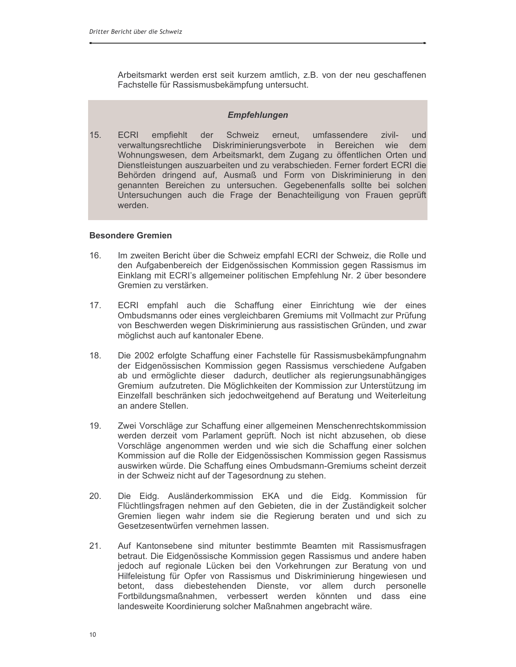Arbeitsmarkt werden erst seit kurzem amtlich, z.B. von der neu geschaffenen Fachstelle für Rassismusbekämpfung untersucht.

#### **Empfehlungen**

 $15.$ **ECRI** empfiehlt der Schweiz erneut, umfassendere zivilund verwaltungsrechtliche Diskriminierungsverbote in Bereichen wie dem Wohnungswesen, dem Arbeitsmarkt, dem Zugang zu öffentlichen Orten und Dienstleistungen auszuarbeiten und zu verabschieden. Ferner fordert ECRI die Behörden dringend auf, Ausmaß und Form von Diskriminierung in den genannten Bereichen zu untersuchen. Gegebenenfalls sollte bei solchen Untersuchungen auch die Frage der Benachteiligung von Frauen geprüft werden.

#### **Besondere Gremien**

- $16.$ Im zweiten Bericht über die Schweiz empfahl ECRI der Schweiz, die Rolle und den Aufgabenbereich der Eidgenössischen Kommission gegen Rassismus im Einklang mit ECRI's allgemeiner politischen Empfehlung Nr. 2 über besondere Gremien zu verstärken.
- ECRI empfahl auch die Schaffung einer Einrichtung wie der eines  $17<sub>1</sub>$ Ombudsmanns oder eines vergleichbaren Gremiums mit Vollmacht zur Prüfung von Beschwerden wegen Diskriminierung aus rassistischen Gründen, und zwar möglichst auch auf kantonaler Ebene.
- $18.$ Die 2002 erfolgte Schaffung einer Fachstelle für Rassismusbekämpfungnahm der Eidgenössischen Kommission gegen Rassismus verschiedene Aufgaben ab und ermöglichte dieser dadurch, deutlicher als regierungsunabhängiges Gremium aufzutreten. Die Möglichkeiten der Kommission zur Unterstützung im Einzelfall beschränken sich jedochweitgehend auf Beratung und Weiterleitung an andere Stellen.
- $19<sub>1</sub>$ Zwei Vorschläge zur Schaffung einer allgemeinen Menschenrechtskommission werden derzeit vom Parlament geprüft. Noch ist nicht abzusehen, ob diese Vorschläge angenommen werden und wie sich die Schaffung einer solchen Kommission auf die Rolle der Eidgenössischen Kommission gegen Rassismus auswirken würde. Die Schaffung eines Ombudsmann-Gremiums scheint derzeit in der Schweiz nicht auf der Tagesordnung zu stehen.
- 20. Die Eidg. Ausländerkommission EKA und die Eidg. Kommission für Flüchtlingsfragen nehmen auf den Gebieten, die in der Zuständigkeit solcher Gremien liegen wahr indem sie die Regierung beraten und und sich zu Gesetzesentwürfen vernehmen lassen.
- Auf Kantonsebene sind mitunter bestimmte Beamten mit Rassismusfragen  $21.$ betraut. Die Eidgenössische Kommission gegen Rassismus und andere haben jedoch auf regionale Lücken bei den Vorkehrungen zur Beratung von und Hilfeleistung für Opfer von Rassismus und Diskriminierung hingewiesen und betont, dass diebestehenden Dienste, vor allem durch personelle Fortbildungsmaßnahmen, verbessert werden könnten und dass eine landesweite Koordinierung solcher Maßnahmen angebracht wäre.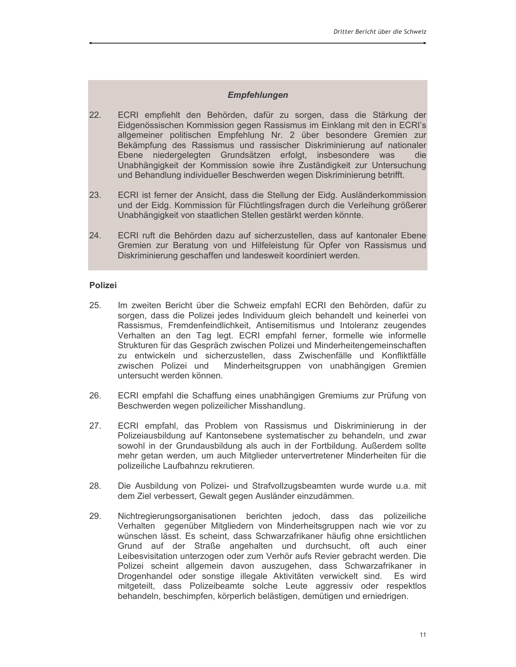#### **Empfehlungen**

- $22.$ ECRI empfiehlt den Behörden, dafür zu sorgen, dass die Stärkung der Eidgenössischen Kommission gegen Rassismus im Einklang mit den in ECRI's allgemeiner politischen Empfehlung Nr. 2 über besondere Gremien zur Bekämpfung des Rassismus und rassischer Diskriminierung auf nationaler Ebene niedergelegten Grundsätzen erfolgt, insbesondere was die<br>Unabhängigkeit der Kommission sowie ihre Zuständigkeit zur Untersuchung und Behandlung individueller Beschwerden wegen Diskriminierung betrifft.
- 23. ECRI ist ferner der Ansicht, dass die Stellung der Eidg. Ausländerkommission und der Eidg. Kommission für Flüchtlingsfragen durch die Verleihung größerer Unabhängigkeit von staatlichen Stellen gestärkt werden könnte.
- 24. ECRI ruft die Behörden dazu auf sicherzustellen, dass auf kantonaler Ebene Gremien zur Beratung von und Hilfeleistung für Opfer von Rassismus und Diskriminierung geschaffen und landesweit koordiniert werden.

#### **Polizei**

- 25. Im zweiten Bericht über die Schweiz empfahl ECRI den Behörden, dafür zu sorgen, dass die Polizei jedes Individuum gleich behandelt und keinerlei von Rassismus, Fremdenfeindlichkeit, Antisemitismus und Intoleranz zeugendes Verhalten an den Tag legt. ECRI empfahl ferner, formelle wie informelle Strukturen für das Gespräch zwischen Polizei und Minderheitengemeinschaften zu entwickeln und sicherzustellen, dass Zwischenfälle und Konfliktfälle zwischen Polizei und Minderheitsgruppen von unabhängigen Gremien untersucht werden können.
- 26. ECRI empfahl die Schaffung eines unabhängigen Gremiums zur Prüfung von Beschwerden wegen polizeilicher Misshandlung.
- 27. ECRI empfahl, das Problem von Rassismus und Diskriminierung in der Polizeiausbildung auf Kantonsebene systematischer zu behandeln, und zwar sowohl in der Grundausbildung als auch in der Fortbildung. Außerdem sollte mehr getan werden, um auch Mitglieder untervertretener Minderheiten für die polizeiliche Laufbahnzu rekrutieren.
- Die Ausbildung von Polizei- und Strafvollzugsbeamten wurde wurde u.a. mit 28. dem Ziel verbessert, Gewalt gegen Ausländer einzudämmen.
- 29. Nichtregierungsorganisationen berichten jedoch, dass das polizeiliche Verhalten gegenüber Mitgliedern von Minderheitsgruppen nach wie vor zu wünschen lässt. Es scheint, dass Schwarzafrikaner häufig ohne ersichtlichen Grund auf der Straße angehalten und durchsucht, oft auch einer Leibesvisitation unterzogen oder zum Verhör aufs Revier gebracht werden. Die Polizei scheint allgemein davon auszugehen, dass Schwarzafrikaner in Drogenhandel oder sonstige illegale Aktivitäten verwickelt sind. Es wird mitgeteilt, dass Polizeibeamte solche Leute aggressiv oder respektlos behandeln, beschimpfen, körperlich belästigen, demütigen und erniedrigen.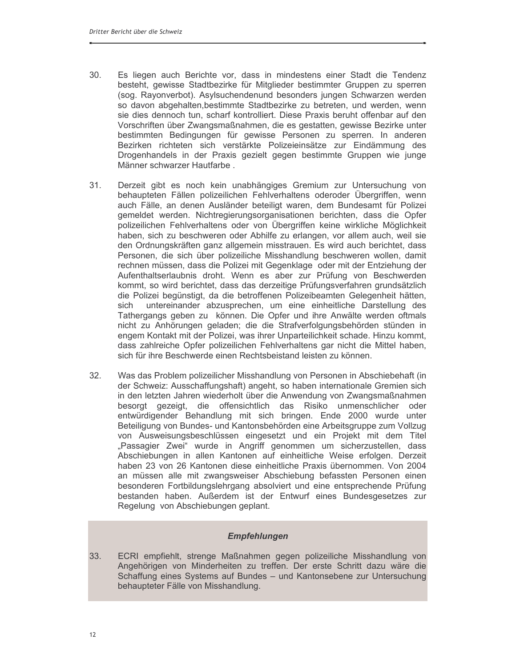- 30. Es liegen auch Berichte vor, dass in mindestens einer Stadt die Tendenz besteht, gewisse Stadtbezirke für Mitglieder bestimmter Gruppen zu sperren (sog. Rayonverbot). Asylsuchendenund besonders jungen Schwarzen werden so davon abgehalten, bestimmte Stadtbezirke zu betreten, und werden, wenn sie dies dennoch tun, scharf kontrolliert. Diese Praxis beruht offenbar auf den Vorschriften über Zwangsmaßnahmen, die es gestatten, gewisse Bezirke unter bestimmten Bedingungen für gewisse Personen zu sperren. In anderen Bezirken richteten sich verstärkte Polizeieinsätze zur Eindämmung des Drogenhandels in der Praxis gezielt gegen bestimmte Gruppen wie junge Männer schwarzer Hautfarbe.
- Derzeit gibt es noch kein unabhängiges Gremium zur Untersuchung von  $31<sub>1</sub>$ behaupteten Fällen polizeilichen Fehlverhaltens oderoder Übergriffen, wenn auch Fälle, an denen Ausländer beteiligt waren, dem Bundesamt für Polizei gemeldet werden. Nichtregierungsorganisationen berichten, dass die Opfer polizeilichen Fehlverhaltens oder von Übergriffen keine wirkliche Möglichkeit haben, sich zu beschweren oder Abhilfe zu erlangen, vor allem auch, weil sie den Ordnungskräften ganz allgemein misstrauen. Es wird auch berichtet, dass Personen, die sich über polizeiliche Misshandlung beschweren wollen, damit rechnen müssen, dass die Polizei mit Gegenklage oder mit der Entziehung der Aufenthaltserlaubnis droht. Wenn es aber zur Prüfung von Beschwerden kommt, so wird berichtet, dass das derzeitige Prüfungsverfahren grundsätzlich die Polizei begünstigt, da die betroffenen Polizeibeamten Gelegenheit hätten, untereinander abzusprechen, um eine einheitliche Darstellung des sich Tathergangs geben zu können. Die Opfer und ihre Anwälte werden oftmals nicht zu Anhörungen geladen; die die Strafverfolgungsbehörden stünden in engem Kontakt mit der Polizei, was ihrer Unparteilichkeit schade. Hinzu kommt. dass zahlreiche Opfer polizeilichen Fehlverhaltens gar nicht die Mittel haben, sich für ihre Beschwerde einen Rechtsbeistand leisten zu können.
- 32. Was das Problem polizeilicher Misshandlung von Personen in Abschiebehaft (in der Schweiz: Ausschaffungshaft) angeht, so haben internationale Gremien sich in den letzten Jahren wiederholt über die Anwendung von Zwangsmaßnahmen besorgt gezeigt, die offensichtlich das Risiko unmenschlicher oder entwürdigender Behandlung mit sich bringen. Ende 2000 wurde unter Beteiligung von Bundes- und Kantonsbehörden eine Arbeitsgruppe zum Vollzug von Ausweisungsbeschlüssen eingesetzt und ein Projekt mit dem Titel "Passagier Zwei" wurde in Angriff genommen um sicherzustellen, dass Abschiebungen in allen Kantonen auf einheitliche Weise erfolgen. Derzeit haben 23 von 26 Kantonen diese einheitliche Praxis übernommen. Von 2004 an müssen alle mit zwangsweiser Abschiebung befassten Personen einen besonderen Fortbildungslehrgang absolviert und eine entsprechende Prüfung bestanden haben. Außerdem ist der Entwurf eines Bundesgesetzes zur Regelung von Abschiebungen geplant.

### **Empfehlungen**

33. ECRI empfiehlt, strenge Maßnahmen gegen polizeiliche Misshandlung von Angehörigen von Minderheiten zu treffen. Der erste Schritt dazu wäre die Schaffung eines Systems auf Bundes - und Kantonsebene zur Untersuchung behaupteter Fälle von Misshandlung.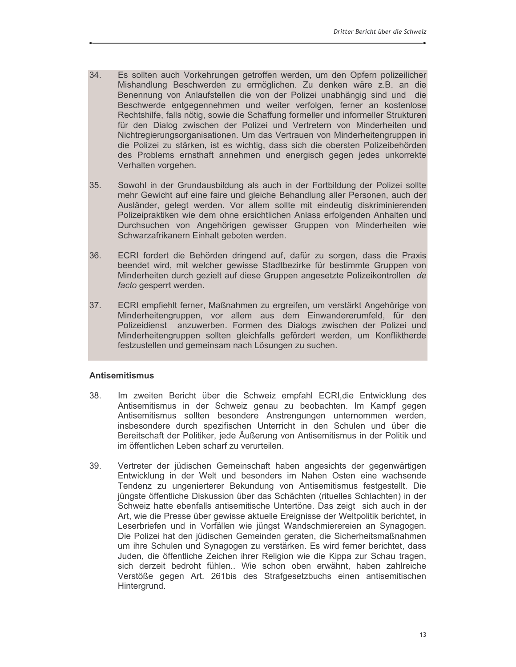- 34. Es sollten auch Vorkehrungen getroffen werden, um den Opfern polizeilicher Mishandlung Beschwerden zu ermöglichen. Zu denken wäre z.B. an die Benennung von Anlaufstellen die von der Polizei unabhängig sind und die Beschwerde entgegennehmen und weiter verfolgen, ferner an kostenlose Rechtshilfe, falls nötig, sowie die Schaffung formeller und informeller Strukturen für den Dialog zwischen der Polizei und Vertretern von Minderheiten und Nichtregierungsorganisationen. Um das Vertrauen von Minderheitengruppen in die Polizei zu stärken, ist es wichtig, dass sich die obersten Polizeibehörden des Problems ernsthaft annehmen und energisch gegen jedes unkorrekte Verhalten vorgehen.
- Sowohl in der Grundausbildung als auch in der Fortbildung der Polizei sollte  $35.$ mehr Gewicht auf eine faire und gleiche Behandlung aller Personen, auch der Ausländer, gelegt werden. Vor allem sollte mit eindeutig diskriminierenden Polizeipraktiken wie dem ohne ersichtlichen Anlass erfolgenden Anhalten und Durchsuchen von Angehörigen gewisser Gruppen von Minderheiten wie Schwarzafrikanern Einhalt geboten werden.
- 36. ECRI fordert die Behörden dringend auf, dafür zu sorgen, dass die Praxis beendet wird, mit welcher gewisse Stadtbezirke für bestimmte Gruppen von Minderheiten durch gezielt auf diese Gruppen angesetzte Polizeikontrollen de facto gesperrt werden.
- ECRI empfiehlt ferner, Maßnahmen zu ergreifen, um verstärkt Angehörige von 37. Minderheitengruppen, vor allem aus dem Einwandererumfeld, für den Polizeidienst anzuwerben. Formen des Dialogs zwischen der Polizei und Minderheitengruppen sollten gleichfalls gefördert werden, um Konfliktherde festzustellen und gemeinsam nach Lösungen zu suchen.

#### **Antisemitismus**

- 38 Im zweiten Bericht über die Schweiz empfahl ECRI, die Entwicklung des Antisemitismus in der Schweiz genau zu beobachten. Im Kampf gegen Antisemitismus sollten besondere Anstrengungen unternommen werden, insbesondere durch spezifischen Unterricht in den Schulen und über die Bereitschaft der Politiker, jede Äußerung von Antisemitismus in der Politik und im öffentlichen Leben scharf zu verurteilen.
- 39. Vertreter der jüdischen Gemeinschaft haben angesichts der gegenwärtigen Entwicklung in der Welt und besonders im Nahen Osten eine wachsende Tendenz zu ungenierterer Bekundung von Antisemitismus festgestellt. Die jüngste öffentliche Diskussion über das Schächten (rituelles Schlachten) in der Schweiz hatte ebenfalls antisemitische Untertöne. Das zeigt sich auch in der Art, wie die Presse über gewisse aktuelle Ereignisse der Weltpolitik berichtet, in Leserbriefen und in Vorfällen wie jüngst Wandschmierereien an Synagogen. Die Polizei hat den jüdischen Gemeinden geraten, die Sicherheitsmaßnahmen um ihre Schulen und Synagogen zu verstärken. Es wird ferner berichtet, dass Juden, die öffentliche Zeichen ihrer Religion wie die Kippa zur Schau tragen, sich derzeit bedroht fühlen.. Wie schon oben erwähnt, haben zahlreiche Verstöße gegen Art. 261bis des Strafgesetzbuchs einen antisemitischen Hintergrund.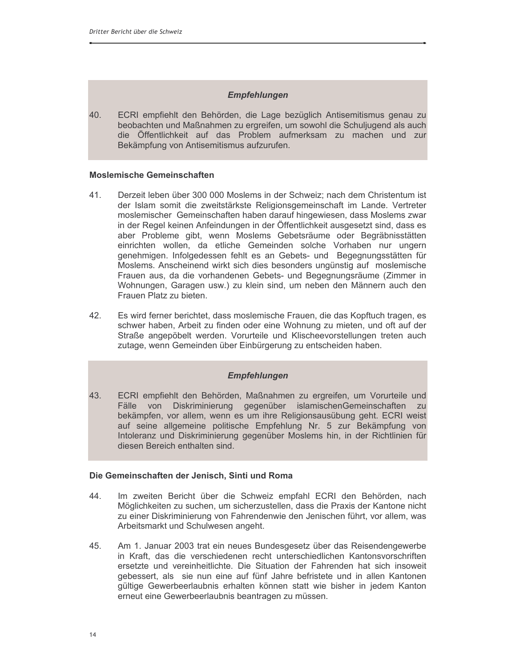#### **Empfehlungen**

40. ECRI empfiehlt den Behörden, die Lage bezüglich Antisemitismus genau zu beobachten und Maßnahmen zu ergreifen, um sowohl die Schuljugend als auch die Öffentlichkeit auf das Problem aufmerksam zu machen und zur Bekämpfung von Antisemitismus aufzurufen.

#### **Moslemische Gemeinschaften**

- 41. Derzeit leben über 300 000 Moslems in der Schweiz; nach dem Christentum ist der Islam somit die zweitstärkste Religionsgemeinschaft im Lande. Vertreter moslemischer Gemeinschaften haben darauf hingewiesen, dass Moslems zwar in der Regel keinen Anfeindungen in der Öffentlichkeit ausgesetzt sind, dass es aber Probleme gibt, wenn Moslems Gebetsräume oder Begräbnisstätten einrichten wollen, da etliche Gemeinden solche Vorhaben nur ungern genehmigen. Infolgedessen fehlt es an Gebets- und Begegnungsstätten für Moslems. Anscheinend wirkt sich dies besonders ungünstig auf moslemische Frauen aus, da die vorhandenen Gebets- und Begegnungsräume (Zimmer in Wohnungen, Garagen usw.) zu klein sind, um neben den Männern auch den Frauen Platz zu bieten.
- 42. Es wird ferner berichtet, dass moslemische Frauen, die das Kopftuch tragen, es schwer haben, Arbeit zu finden oder eine Wohnung zu mieten, und oft auf der Straße angepöbelt werden. Vorurteile und Klischeevorstellungen treten auch zutage, wenn Gemeinden über Einbürgerung zu entscheiden haben.

#### **Empfehlungen**

43. ECRI empfiehlt den Behörden, Maßnahmen zu ergreifen, um Vorurteile und Fälle von Diskriminierung gegenüber islamischenGemeinschaften zu bekämpfen, vor allem, wenn es um ihre Religionsausübung geht. ECRI weist auf seine allgemeine politische Empfehlung Nr. 5 zur Bekämpfung von Intoleranz und Diskriminierung gegenüber Moslems hin, in der Richtlinien für diesen Bereich enthalten sind.

#### Die Gemeinschaften der Jenisch, Sinti und Roma

- 44. Im zweiten Bericht über die Schweiz empfahl ECRI den Behörden, nach Möglichkeiten zu suchen, um sicherzustellen, dass die Praxis der Kantone nicht zu einer Diskriminierung von Fahrendenwie den Jenischen führt, vor allem, was Arbeitsmarkt und Schulwesen angeht.
- Am 1. Januar 2003 trat ein neues Bundesgesetz über das Reisendengewerbe 45. in Kraft, das die verschiedenen recht unterschiedlichen Kantonsvorschriften ersetzte und vereinheitlichte. Die Situation der Fahrenden hat sich insoweit gebessert, als sie nun eine auf fünf Jahre befristete und in allen Kantonen gültige Gewerbeerlaubnis erhalten können statt wie bisher in jedem Kanton erneut eine Gewerbeerlaubnis beantragen zu müssen.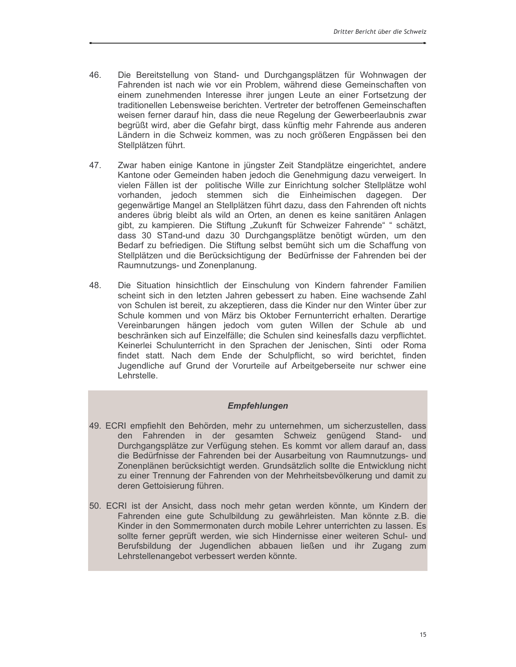- 46. Die Bereitstellung von Stand- und Durchgangsplätzen für Wohnwagen der Fahrenden ist nach wie vor ein Problem, während diese Gemeinschaften von einem zunehmenden Interesse ihrer jungen Leute an einer Fortsetzung der traditionellen Lebensweise berichten. Vertreter der betroffenen Gemeinschaften weisen ferner darauf hin, dass die neue Regelung der Gewerbeerlaubnis zwar begrüßt wird, aber die Gefahr birgt, dass künftig mehr Fahrende aus anderen Ländern in die Schweiz kommen, was zu noch größeren Engpässen bei den Stellplätzen führt.
- 47 Zwar haben einige Kantone in jüngster Zeit Standplätze eingerichtet, andere Kantone oder Gemeinden haben jedoch die Genehmigung dazu verweigert. In vielen Fällen ist der politische Wille zur Einrichtung solcher Stellplätze wohl vorhanden, jedoch stemmen sich die Einheimischen dagegen. Der gegenwärtige Mangel an Stellplätzen führt dazu, dass den Fahrenden oft nichts anderes übrig bleibt als wild an Orten, an denen es keine sanitären Anlagen gibt, zu kampieren. Die Stiftung "Zukunft für Schweizer Fahrende" " schätzt, dass 30 STand-und dazu 30 Durchgangsplätze benötigt würden, um den Bedarf zu befriedigen. Die Stiftung selbst bemüht sich um die Schaffung von Stellplätzen und die Berücksichtigung der Bedürfnisse der Fahrenden bei der Raumnutzungs- und Zonenplanung.
- 48. Die Situation hinsichtlich der Einschulung von Kindern fahrender Familien scheint sich in den letzten Jahren gebessert zu haben. Eine wachsende Zahl von Schulen ist bereit, zu akzeptieren, dass die Kinder nur den Winter über zur Schule kommen und von März bis Oktober Fernunterricht erhalten. Derartige Vereinbarungen hängen jedoch vom guten Willen der Schule ab und beschränken sich auf Einzelfälle: die Schulen sind keinesfalls dazu verpflichtet. Keinerlei Schulunterricht in den Sprachen der Jenischen, Sinti oder Roma findet statt. Nach dem Ende der Schulpflicht, so wird berichtet, finden Jugendliche auf Grund der Vorurteile auf Arbeitgeberseite nur schwer eine Lehrstelle.

#### **Empfehlungen**

- 49. ECRI empfiehlt den Behörden, mehr zu unternehmen, um sicherzustellen, dass den Fahrenden in der gesamten Schweiz genügend Stand- und Durchgangsplätze zur Verfügung stehen. Es kommt vor allem darauf an, dass die Bedürfnisse der Fahrenden bei der Ausarbeitung von Raumnutzungs- und Zonenplänen berücksichtigt werden. Grundsätzlich sollte die Entwicklung nicht zu einer Trennung der Fahrenden von der Mehrheitsbevölkerung und damit zu deren Gettoisierung führen.
- 50. ECRI ist der Ansicht, dass noch mehr getan werden könnte, um Kindern der Fahrenden eine gute Schulbildung zu gewährleisten. Man könnte z.B. die Kinder in den Sommermonaten durch mobile Lehrer unterrichten zu lassen. Es sollte ferner geprüft werden, wie sich Hindernisse einer weiteren Schul- und Berufsbildung der Jugendlichen abbauen ließen und ihr Zugang zum Lehrstellenangebot verbessert werden könnte.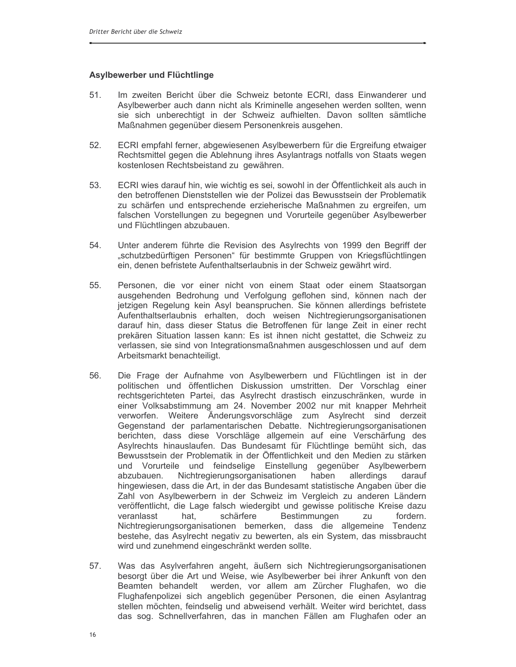#### Asylbewerber und Flüchtlinge

- Im zweiten Bericht über die Schweiz betonte ECRI, dass Einwanderer und  $51<sub>1</sub>$ Asylbewerber auch dann nicht als Kriminelle angesehen werden sollten, wenn sie sich unberechtigt in der Schweiz aufhielten. Davon sollten sämtliche Maßnahmen gegenüber diesem Personenkreis ausgehen.
- $52.$ ECRI empfahl ferner, abgewiesenen Asylbewerbern für die Ergreifung etwaiger Rechtsmittel gegen die Ablehnung ihres Asylantrags notfalls von Staats wegen kostenlosen Rechtsbeistand zu gewähren.
- ECRI wies darauf hin, wie wichtig es sei, sowohl in der Öffentlichkeit als auch in 53. den betroffenen Dienststellen wie der Polizei das Bewusstsein der Problematik zu schärfen und entsprechende erzieherische Maßnahmen zu ergreifen, um falschen Vorstellungen zu begegnen und Vorurteile gegenüber Asylbewerber und Flüchtlingen abzubauen.
- 54. Unter anderem führte die Revision des Asylrechts von 1999 den Begriff der "schutzbedürftigen Personen" für bestimmte Gruppen von Kriegsflüchtlingen ein, denen befristete Aufenthaltserlaubnis in der Schweiz gewährt wird.
- 55. Personen, die vor einer nicht von einem Staat oder einem Staatsorgan ausgehenden Bedrohung und Verfolgung geflohen sind, können nach der jetzigen Regelung kein Asyl beanspruchen. Sie können allerdings befristete Aufenthaltserlaubnis erhalten, doch weisen Nichtregierungsorganisationen darauf hin, dass dieser Status die Betroffenen für lange Zeit in einer recht prekären Situation lassen kann: Es ist ihnen nicht gestattet, die Schweiz zu verlassen, sie sind von Integrationsmaßnahmen ausgeschlossen und auf dem Arbeitsmarkt benachteiligt.
- 56. Die Frage der Aufnahme von Asylbewerbern und Flüchtlingen ist in der politischen und öffentlichen Diskussion umstritten. Der Vorschlag einer rechtsgerichteten Partei, das Asylrecht drastisch einzuschränken, wurde in einer Volksabstimmung am 24. November 2002 nur mit knapper Mehrheit verworfen. Weitere Änderungsvorschläge zum Asylrecht sind derzeit Gegenstand der parlamentarischen Debatte. Nichtregierungsorganisationen berichten, dass diese Vorschläge allgemein auf eine Verschärfung des Asylrechts hinauslaufen. Das Bundesamt für Flüchtlinge bemüht sich, das Bewusstsein der Problematik in der Öffentlichkeit und den Medien zu stärken und Vorurteile und feindselige Einstellung gegenüber Asylbewerbern abzubauen. Nichtregierungsorganisationen haben allerdings darauf hingewiesen, dass die Art, in der das Bundesamt statistische Angaben über die Zahl von Asylbewerbern in der Schweiz im Vergleich zu anderen Ländern veröffentlicht, die Lage falsch wiedergibt und gewisse politische Kreise dazu veranlasst hat. schärfere Bestimmungen fordern. zu Nichtregierungsorganisationen bemerken, dass die allgemeine Tendenz bestehe, das Asylrecht negativ zu bewerten, als ein System, das missbraucht wird und zunehmend eingeschränkt werden sollte.
- 57. Was das Asylverfahren angeht, äußern sich Nichtregierungsorganisationen besorgt über die Art und Weise, wie Asylbewerber bei ihrer Ankunft von den Beamten behandelt werden, vor allem am Zürcher Flughafen, wo die Flughafenpolizei sich angeblich gegenüber Personen, die einen Asylantrag stellen möchten, feindselig und abweisend verhält. Weiter wird berichtet, dass das sog. Schnellverfahren, das in manchen Fällen am Flughafen oder an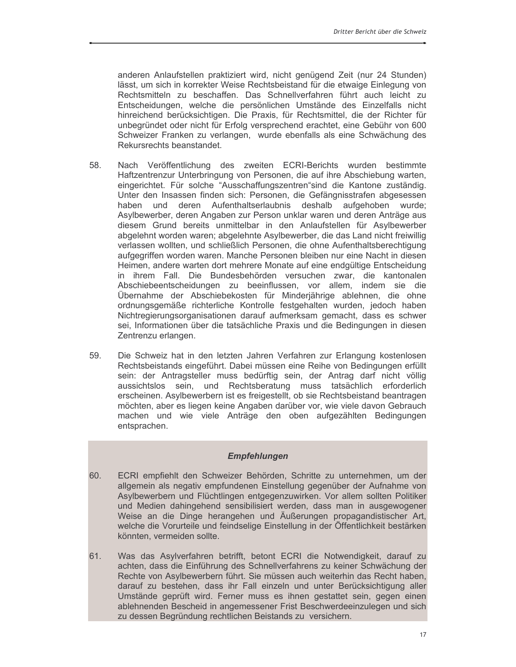anderen Anlaufstellen praktiziert wird, nicht genügend Zeit (nur 24 Stunden) lässt, um sich in korrekter Weise Rechtsbeistand für die etwaige Einlegung von Rechtsmitteln zu beschaffen. Das Schnellverfahren führt auch leicht zu Entscheidungen, welche die persönlichen Umstände des Einzelfalls nicht hinreichend berücksichtigen. Die Praxis, für Rechtsmittel, die der Richter für unbegründet oder nicht für Erfolg versprechend erachtet, eine Gebühr von 600 Schweizer Franken zu verlangen, wurde ebenfalls als eine Schwächung des Rekursrechts beanstandet.

- 58 Nach Veröffentlichung des zweiten ECRI-Berichts wurden bestimmte Haftzentrenzur Unterbringung von Personen, die auf ihre Abschiebung warten, eingerichtet. Für solche "Ausschaffungszentren"sind die Kantone zuständig. Unter den Insassen finden sich: Personen, die Gefängnisstrafen abgesessen haben und deren Aufenthaltserlaubnis deshalb aufgehoben wurde; Asylbewerber, deren Angaben zur Person unklar waren und deren Anträge aus diesem Grund bereits unmittelbar in den Anlaufstellen für Asylbewerber abgelehnt worden waren; abgelehnte Asylbewerber, die das Land nicht freiwillig verlassen wollten, und schließlich Personen, die ohne Aufenthaltsberechtigung aufgegriffen worden waren. Manche Personen bleiben nur eine Nacht in diesen Heimen, andere warten dort mehrere Monate auf eine endgültige Entscheidung in ihrem Fall. Die Bundesbehörden versuchen zwar, die kantonalen Abschiebeentscheidungen zu beeinflussen, vor allem, indem sie die Übernahme der Abschiebekosten für Minderjährige ablehnen, die ohne ordnungsgemäße richterliche Kontrolle festgehalten wurden, jedoch haben Nichtregierungsorganisationen darauf aufmerksam gemacht, dass es schwer sei, Informationen über die tatsächliche Praxis und die Bedingungen in diesen Zentrenzu erlangen.
- 59. Die Schweiz hat in den letzten Jahren Verfahren zur Erlangung kostenlosen Rechtsbeistands eingeführt. Dabei müssen eine Reihe von Bedingungen erfüllt sein: der Antragsteller muss bedürftig sein, der Antrag darf nicht völlig aussichtslos sein, und Rechtsberatung muss tatsächlich erforderlich erscheinen. Asylbewerbern ist es freigestellt, ob sie Rechtsbeistand beantragen möchten, aber es liegen keine Angaben darüber vor, wie viele davon Gebrauch machen und wie viele Anträge den oben aufgezählten Bedingungen entsprachen.

#### **Empfehlungen**

- ECRI empfiehlt den Schweizer Behörden, Schritte zu unternehmen, um der 60. allgemein als negativ empfundenen Einstellung gegenüber der Aufnahme von Asylbewerbern und Flüchtlingen entgegenzuwirken. Vor allem sollten Politiker und Medien dahingehend sensibilisiert werden, dass man in ausgewogener Weise an die Dinge herangehen und Äußerungen propagandistischer Art, welche die Vorurteile und feindselige Einstellung in der Öffentlichkeit bestärken könnten, vermeiden sollte.
- 61. Was das Asylverfahren betrifft, betont ECRI die Notwendigkeit, darauf zu achten, dass die Einführung des Schnellverfahrens zu keiner Schwächung der Rechte von Asylbewerbern führt. Sie müssen auch weiterhin das Recht haben, darauf zu bestehen, dass ihr Fall einzeln und unter Berücksichtigung aller Umstände geprüft wird. Ferner muss es ihnen gestattet sein, gegen einen ablehnenden Bescheid in angemessener Frist Beschwerdeeinzulegen und sich zu dessen Begründung rechtlichen Beistands zu versichern.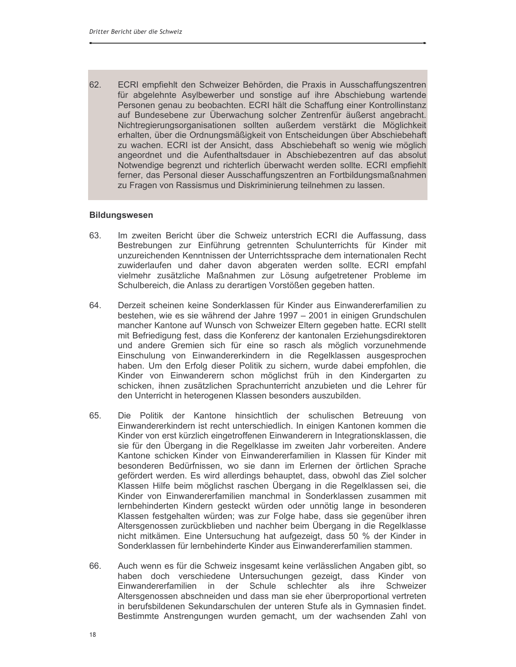62. ECRI empfiehlt den Schweizer Behörden, die Praxis in Ausschaffungszentren für abgelehnte Asylbewerber und sonstige auf ihre Abschiebung wartende Personen genau zu beobachten. ECRI hält die Schaffung einer Kontrollinstanz auf Bundesebene zur Überwachung solcher Zentrenfür äußerst angebracht. Nichtregierungsorganisationen sollten außerdem verstärkt die Möglichkeit erhalten, über die Ordnungsmäßigkeit von Entscheidungen über Abschiebehaft zu wachen. ECRI ist der Ansicht, dass Abschiebehaft so wenig wie möglich angeordnet und die Aufenthaltsdauer in Abschiebezentren auf das absolut Notwendige begrenzt und richterlich überwacht werden sollte. ECRI empfiehlt ferner, das Personal dieser Ausschaffungszentren an Fortbildungsmaßnahmen zu Fragen von Rassismus und Diskriminierung teilnehmen zu lassen.

#### **Bildungswesen**

- 63. Im zweiten Bericht über die Schweiz unterstrich ECRI die Auffassung, dass Bestrebungen zur Einführung getrennten Schulunterrichts für Kinder mit unzureichenden Kenntnissen der Unterrichtssprache dem internationalen Recht zuwiderlaufen und daher davon abgeraten werden sollte. ECRI empfahl vielmehr zusätzliche Maßnahmen zur Lösung aufgetretener Probleme im Schulbereich, die Anlass zu derartigen Vorstößen gegeben hatten.
- Derzeit scheinen keine Sonderklassen für Kinder aus Einwandererfamilien zu 64 bestehen, wie es sie während der Jahre 1997 - 2001 in einigen Grundschulen mancher Kantone auf Wunsch von Schweizer Eltern gegeben hatte. ECRI stellt mit Befriedigung fest, dass die Konferenz der kantonalen Erziehungsdirektoren und andere Gremien sich für eine so rasch als möglich vorzunehmende Einschulung von Einwandererkindern in die Regelklassen ausgesprochen haben. Um den Erfolg dieser Politik zu sichern, wurde dabei empfohlen, die Kinder von Einwanderern schon möglichst früh in den Kindergarten zu schicken, ihnen zusätzlichen Sprachunterricht anzubieten und die Lehrer für den Unterricht in heterogenen Klassen besonders auszubilden.
- 65. Die Politik der Kantone hinsichtlich der schulischen Betreuung von Einwandererkindern ist recht unterschiedlich. In einigen Kantonen kommen die Kinder von erst kürzlich eingetroffenen Einwanderern in Integrationsklassen, die sie für den Übergang in die Regelklasse im zweiten Jahr vorbereiten. Andere Kantone schicken Kinder von Einwandererfamilien in Klassen für Kinder mit besonderen Bedürfnissen, wo sie dann im Erlernen der örtlichen Sprache gefördert werden. Es wird allerdings behauptet, dass, obwohl das Ziel solcher Klassen Hilfe beim möglichst raschen Übergang in die Regelklassen sei, die Kinder von Einwandererfamilien manchmal in Sonderklassen zusammen mit lernbehinderten Kindern gesteckt würden oder unnötig lange in besonderen Klassen festgehalten würden; was zur Folge habe, dass sie gegenüber ihren Altersgenossen zurückblieben und nachher beim Übergang in die Regelklasse nicht mitkämen. Eine Untersuchung hat aufgezeigt, dass 50 % der Kinder in Sonderklassen für lernbehinderte Kinder aus Einwandererfamilien stammen.
- 66. Auch wenn es für die Schweiz insgesamt keine verlässlichen Angaben gibt, so haben doch verschiedene Untersuchungen gezeigt, dass Kinder von Einwandererfamilien in der Schule schlechter als ihre Schweizer Altersgenossen abschneiden und dass man sie eher überproportional vertreten in berufsbildenen Sekundarschulen der unteren Stufe als in Gymnasien findet. Bestimmte Anstrengungen wurden gemacht, um der wachsenden Zahl von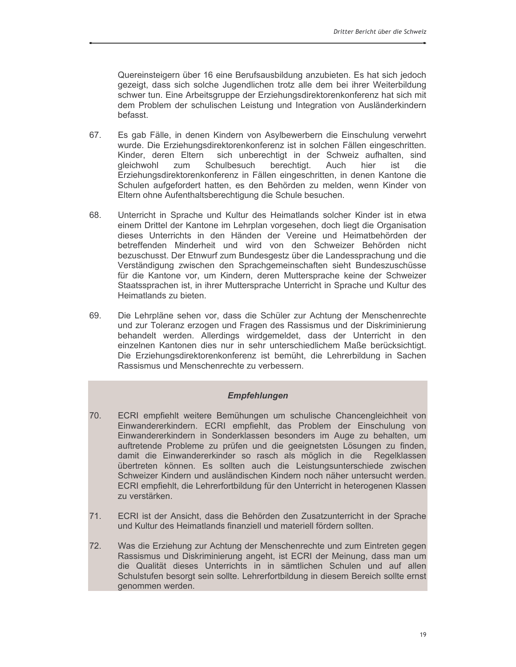Quereinsteigern über 16 eine Berufsausbildung anzubieten. Es hat sich jedoch gezeigt, dass sich solche Jugendlichen trotz alle dem bei ihrer Weiterbildung schwer tun. Eine Arbeitsgruppe der Erziehungsdirektorenkonferenz hat sich mit dem Problem der schulischen Leistung und Integration von Ausländerkindern befasst.

- 67. Es gab Fälle, in denen Kindern von Asylbewerbern die Einschulung verwehrt wurde. Die Erziehungsdirektorenkonferenz ist in solchen Fällen eingeschritten. Kinder, deren Eltern sich unberechtigt in der Schweiz aufhalten, sind zum berechtigt. Schulbesuch hier qleichwohl Auch ist die Erziehungsdirektorenkonferenz in Fällen eingeschritten, in denen Kantone die Schulen aufgefordert hatten, es den Behörden zu melden, wenn Kinder von Eltern ohne Aufenthaltsberechtigung die Schule besuchen.
- 68. Unterricht in Sprache und Kultur des Heimatlands solcher Kinder ist in etwa einem Drittel der Kantone im Lehrplan vorgesehen, doch liegt die Organisation dieses Unterrichts in den Händen der Vereine und Heimatbehörden der betreffenden Minderheit und wird von den Schweizer Behörden nicht bezuschusst. Der Etnwurf zum Bundesgestz über die Landessprachung und die Verständigung zwischen den Sprachgemeinschaften sieht Bundeszuschüsse für die Kantone vor, um Kindern, deren Muttersprache keine der Schweizer Staatssprachen ist, in ihrer Muttersprache Unterricht in Sprache und Kultur des Heimatlands zu bieten.
- 69. Die Lehrpläne sehen vor, dass die Schüler zur Achtung der Menschenrechte und zur Toleranz erzogen und Fragen des Rassismus und der Diskriminierung behandelt werden. Allerdings wirdgemeldet, dass der Unterricht in den einzelnen Kantonen dies nur in sehr unterschiedlichem Maße berücksichtigt. Die Erziehungsdirektorenkonferenz ist bemüht, die Lehrerbildung in Sachen Rassismus und Menschenrechte zu verbessern.

#### **Empfehlungen**

- 70. ECRI empfiehlt weitere Bemühungen um schulische Chancengleichheit von Einwandererkindern. ECRI empfiehlt, das Problem der Einschulung von Einwandererkindern in Sonderklassen besonders im Auge zu behalten, um auftretende Probleme zu prüfen und die geeignetsten Lösungen zu finden, damit die Einwandererkinder so rasch als möglich in die Regelklassen übertreten können. Es sollten auch die Leistungsunterschiede zwischen Schweizer Kindern und ausländischen Kindern noch näher untersucht werden. ECRI empfiehlt, die Lehrerfortbildung für den Unterricht in heterogenen Klassen zu verstärken.
- $71.$ ECRI ist der Ansicht, dass die Behörden den Zusatzunterricht in der Sprache und Kultur des Heimatlands finanziell und materiell fördern sollten.
- $72.$ Was die Erziehung zur Achtung der Menschenrechte und zum Eintreten gegen Rassismus und Diskriminierung angeht, ist ECRI der Meinung, dass man um die Qualität dieses Unterrichts in in sämtlichen Schulen und auf allen Schulstufen besorgt sein sollte. Lehrerfortbildung in diesem Bereich sollte ernst genommen werden.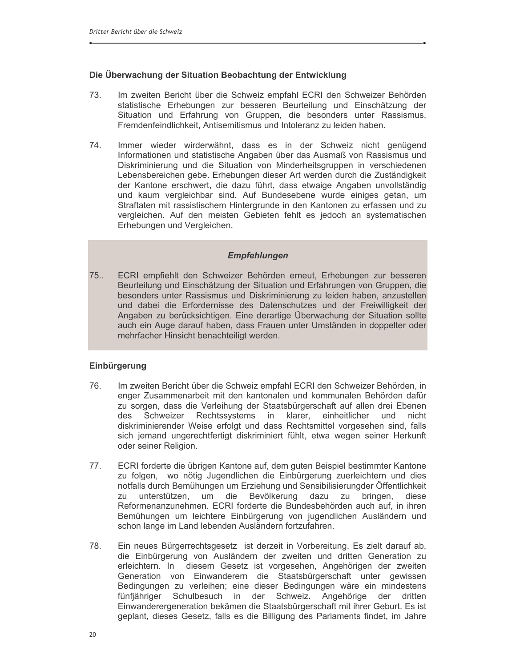#### Die Überwachung der Situation Beobachtung der Entwicklung

- 73. Im zweiten Bericht über die Schweiz empfahl ECRI den Schweizer Behörden statistische Erhebungen zur besseren Beurteilung und Einschätzung der Situation und Erfahrung von Gruppen, die besonders unter Rassismus, Fremdenfeindlichkeit. Antisemitismus und Intoleranz zu leiden haben.
- 74. Immer wieder wirderwähnt, dass es in der Schweiz nicht genügend Informationen und statistische Angaben über das Ausmaß von Rassismus und Diskriminierung und die Situation von Minderheitsgruppen in verschiedenen Lebensbereichen gebe. Erhebungen dieser Art werden durch die Zuständigkeit der Kantone erschwert, die dazu führt, dass etwaige Angaben unvollständig und kaum vergleichbar sind. Auf Bundesebene wurde einiges getan, um Straftaten mit rassistischem Hintergrunde in den Kantonen zu erfassen und zu vergleichen. Auf den meisten Gebieten fehlt es jedoch an systematischen Erhebungen und Vergleichen.

#### **Empfehlungen**

 $75...$ ECRI empfiehlt den Schweizer Behörden erneut, Erhebungen zur besseren Beurteilung und Einschätzung der Situation und Erfahrungen von Gruppen, die besonders unter Rassismus und Diskriminierung zu leiden haben, anzustellen und dabei die Erfordernisse des Datenschutzes und der Freiwilligkeit der Angaben zu berücksichtigen. Eine derartige Überwachung der Situation sollte auch ein Auge darauf haben, dass Frauen unter Umständen in doppelter oder mehrfacher Hinsicht benachteiligt werden.

#### Einbürgerung

- 76. Im zweiten Bericht über die Schweiz empfahl ECRI den Schweizer Behörden, in enger Zusammenarbeit mit den kantonalen und kommunalen Behörden dafür zu sorgen, dass die Verleihung der Staatsbürgerschaft auf allen drei Ebenen des Schweizer Rechtssystems in klarer, einheitlicher und nicht diskriminierender Weise erfolgt und dass Rechtsmittel vorgesehen sind, falls sich jemand ungerechtfertigt diskriminiert fühlt, etwa wegen seiner Herkunft oder seiner Religion.
- $77.$ ECRI forderte die übrigen Kantone auf, dem guten Beispiel bestimmter Kantone zu folgen, wo nötig Jugendlichen die Einbürgerung zuerleichtern und dies notfalls durch Bemühungen um Erziehung und Sensibilisierungder Öffentlichkeit unterstützen, um die Bevölkerung dazu zu bringen, diese zu Reformenanzunehmen. ECRI forderte die Bundesbehörden auch auf, in ihren Bemühungen um leichtere Einbürgerung von jugendlichen Ausländern und schon lange im Land lebenden Ausländern fortzufahren.
- 78. Ein neues Bürgerrechtsgesetz ist derzeit in Vorbereitung. Es zielt darauf ab, die Einbürgerung von Ausländern der zweiten und dritten Generation zu erleichtern. In diesem Gesetz ist vorgesehen, Angehörigen der zweiten Generation von Einwanderern die Staatsbürgerschaft unter gewissen Bedingungen zu verleihen; eine dieser Bedingungen wäre ein mindestens fünfjähriger Schulbesuch in der Schweiz. Angehörige der dritten Einwanderergeneration bekämen die Staatsbürgerschaft mit ihrer Geburt. Es ist geplant, dieses Gesetz, falls es die Billigung des Parlaments findet, im Jahre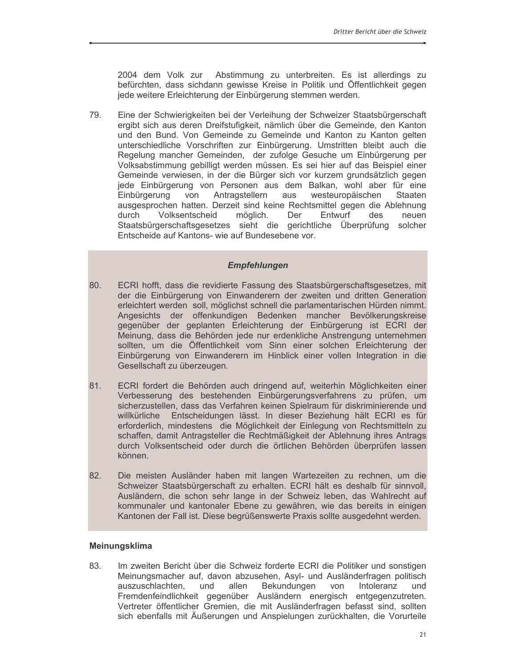2004 dem Volk zur Abstimmung zu unterbreiten. Es ist allerdings zu befürchten, dass sichdann gewisse Kreise in Politik und Öffentlichkeit gegen jede weitere Erleichterung der Einbürgerung stemmen werden.

79. Eine der Schwierigkeiten bei der Verleihung der Schweizer Staatsbürgerschaft ergibt sich aus deren Dreifstufigkeit, nämlich über die Gemeinde, den Kanton und den Bund. Von Gemeinde zu Gemeinde und Kanton zu Kanton gelten unterschiedliche Vorschriften zur Einbürgerung. Umstritten bleibt auch die Regelung mancher Gemeinden, der zufolge Gesuche um Einbürgerung per Volksabstimmung gebilligt werden müssen. Es sei hier auf das Beispiel einer Gemeinde verwiesen, in der die Bürger sich vor kurzem grundsätzlich gegen jede Einbürgerung von Personen aus dem Balkan, wohl aber für eine Einbürgerung von Antragstellern aus westeuropäischen Staaten ausgesprochen hatten. Derzeit sind keine Rechtsmittel gegen die Ablehnung Volksentscheid möglich. Entwurf durch Der des neuen Staatsbürgerschaftsgesetzes sieht die gerichtliche Überprüfung solcher Entscheide auf Kantons- wie auf Bundesebene vor.

#### **Empfehlungen**

- 80. ECRI hofft, dass die revidierte Fassung des Staatsbürgerschaftsgesetzes, mit der die Einbürgerung von Einwanderern der zweiten und dritten Generation erleichtert werden soll, möglichst schnell die parlamentarischen Hürden nimmt. Angesichts der offenkundigen Bedenken mancher Bevölkerungskreise gegenüber der geplanten Erleichterung der Einbürgerung ist ECRI der Meinung, dass die Behörden jede nur erdenkliche Anstrengung unternehmen sollten, um die Öffentlichkeit vom Sinn einer solchen Erleichterung der Einbürgerung von Einwanderern im Hinblick einer vollen Integration in die Gesellschaft zu überzeugen.
- 81. ECRI fordert die Behörden auch dringend auf, weiterhin Möglichkeiten einer Verbesserung des bestehenden Einbürgerungsverfahrens zu prüfen, um sicherzustellen, dass das Verfahren keinen Spielraum für diskriminierende und willkürliche Entscheidungen lässt. In dieser Beziehung hält ECRI es für erforderlich, mindestens die Möglichkeit der Einlegung von Rechtsmitteln zu schaffen, damit Antragsteller die Rechtmäßigkeit der Ablehnung ihres Antrags durch Volksentscheid oder durch die örtlichen Behörden überprüfen lassen können.
- 82. Die meisten Ausländer haben mit langen Wartezeiten zu rechnen, um die Schweizer Staatsbürgerschaft zu erhalten. ECRI hält es deshalb für sinnvoll, Ausländern, die schon sehr lange in der Schweiz leben, das Wahlrecht auf kommunaler und kantonaler Ebene zu gewähren, wie das bereits in einigen Kantonen der Fall ist. Diese begrüßenswerte Praxis sollte ausgedehnt werden.

#### Meinungsklima

83. Im zweiten Bericht über die Schweiz forderte ECRI die Politiker und sonstigen Meinungsmacher auf, davon abzusehen, Asyl- und Ausländerfragen politisch auszuschlachten, und Bekundungen Intoleranz allen von und Fremdenfeindlichkeit gegenüber Ausländern energisch entgegenzutreten. Vertreter öffentlicher Gremien, die mit Ausländerfragen befasst sind, sollten sich ebenfalls mit Äußerungen und Anspielungen zurückhalten, die Vorurteile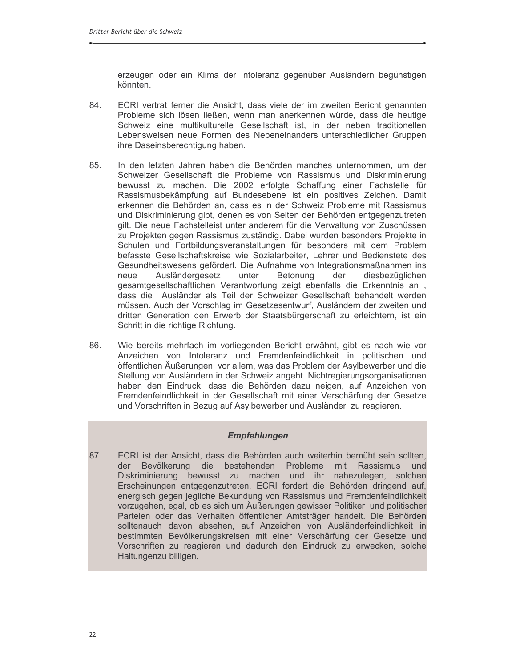erzeugen oder ein Klima der Intoleranz gegenüber Ausländern begünstigen könnten.

- 84. ECRI vertrat ferner die Ansicht, dass viele der im zweiten Bericht genannten Probleme sich lösen ließen, wenn man anerkennen würde, dass die heutige Schweiz eine multikulturelle Gesellschaft ist, in der neben traditionellen Lebensweisen neue Formen des Nebeneinanders unterschiedlicher Gruppen ihre Daseinsberechtigung haben.
- 85 In den letzten Jahren haben die Behörden manches unternommen, um der Schweizer Gesellschaft die Probleme von Rassismus und Diskriminierung bewusst zu machen. Die 2002 erfolgte Schaffung einer Fachstelle für Rassismusbekämpfung auf Bundesebene ist ein positives Zeichen. Damit erkennen die Behörden an, dass es in der Schweiz Probleme mit Rassismus und Diskriminierung gibt, denen es von Seiten der Behörden entgegenzutreten gilt. Die neue Fachstelleist unter anderem für die Verwaltung von Zuschüssen zu Projekten gegen Rassismus zuständig. Dabei wurden besonders Projekte in Schulen und Fortbildungsveranstaltungen für besonders mit dem Problem befasste Gesellschaftskreise wie Sozialarbeiter, Lehrer und Bedienstete des Gesundheitswesens gefördert. Die Aufnahme von Integrationsmaßnahmen ins Ausländergesetz neue unter Betonung der diesbezüglichen gesamtgesellschaftlichen Verantwortung zeigt ebenfalls die Erkenntnis an dass die Ausländer als Teil der Schweizer Gesellschaft behandelt werden müssen. Auch der Vorschlag im Gesetzesentwurf, Ausländern der zweiten und dritten Generation den Erwerb der Staatsbürgerschaft zu erleichtern, ist ein Schritt in die richtige Richtung.
- 86. Wie bereits mehrfach im vorliegenden Bericht erwähnt, gibt es nach wie vor Anzeichen von Intoleranz und Fremdenfeindlichkeit in politischen und öffentlichen Äußerungen, vor allem, was das Problem der Asylbewerber und die Stellung von Ausländern in der Schweiz angeht. Nichtregierungsorganisationen haben den Eindruck, dass die Behörden dazu neigen, auf Anzeichen von Fremdenfeindlichkeit in der Gesellschaft mit einer Verschärfung der Gesetze und Vorschriften in Bezug auf Asylbewerber und Ausländer zu reagieren.

#### **Empfehlungen**

ECRI ist der Ansicht, dass die Behörden auch weiterhin bemüht sein sollten. 87. Bevölkerung die bestehenden Probleme mit Rassismus der und Diskriminierung bewusst zu machen und ihr nahezulegen, solchen Erscheinungen entgegenzutreten. ECRI fordert die Behörden dringend auf, energisch gegen jegliche Bekundung von Rassismus und Fremdenfeindlichkeit vorzugehen, egal, ob es sich um Äußerungen gewisser Politiker und politischer Parteien oder das Verhalten öffentlicher Amtsträger handelt. Die Behörden solltenauch davon absehen, auf Anzeichen von Ausländerfeindlichkeit in bestimmten Bevölkerungskreisen mit einer Verschärfung der Gesetze und Vorschriften zu reagieren und dadurch den Eindruck zu erwecken, solche Haltungenzu billigen.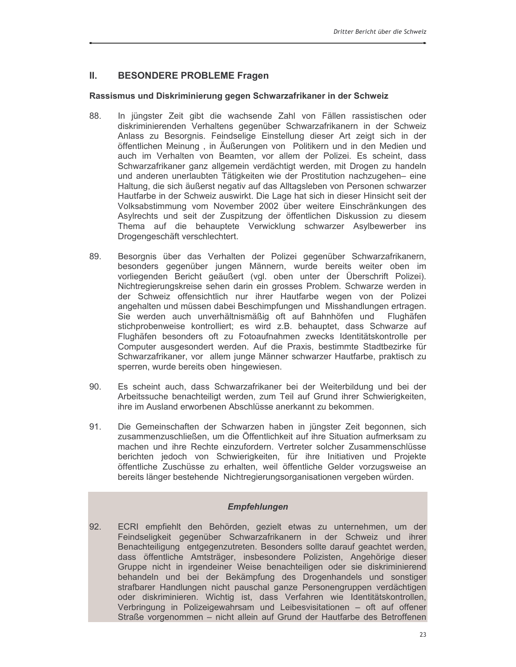#### Ш. **BESONDERE PROBLEME Fragen**

#### Rassismus und Diskriminierung gegen Schwarzafrikaner in der Schweiz

- 88. In jüngster Zeit gibt die wachsende Zahl von Fällen rassistischen oder diskriminierenden Verhaltens gegenüber Schwarzafrikanern in der Schweiz Anlass zu Besorgnis. Feindselige Einstellung dieser Art zeigt sich in der öffentlichen Meinung, in Äußerungen von Politikern und in den Medien und auch im Verhalten von Beamten, vor allem der Polizei. Es scheint, dass Schwarzafrikaner ganz allgemein verdächtigt werden, mit Drogen zu handeln und anderen unerlaubten Tätigkeiten wie der Prostitution nachzugehen- eine Haltung, die sich äußerst negativ auf das Alltagsleben von Personen schwarzer Hautfarbe in der Schweiz auswirkt. Die Lage hat sich in dieser Hinsicht seit der Volksabstimmung vom November 2002 über weitere Einschränkungen des Asylrechts und seit der Zuspitzung der öffentlichen Diskussion zu diesem Thema auf die behauptete Verwicklung schwarzer Asylbewerber ins Drogengeschäft verschlechtert.
- Besorgnis über das Verhalten der Polizei gegenüber Schwarzafrikanern, 89. besonders gegenüber jungen Männern, wurde bereits weiter oben im vorliegenden Bericht geäußert (vgl. oben unter der Überschrift Polizei). Nichtregierungskreise sehen darin ein grosses Problem. Schwarze werden in der Schweiz offensichtlich nur ihrer Hautfarbe wegen von der Polizei angehalten und müssen dabei Beschimpfungen und Misshandlungen ertragen. Sie werden auch unverhältnismäßig oft auf Bahnhöfen und Flughäfen stichprobenweise kontrolliert; es wird z.B. behauptet, dass Schwarze auf Flughäfen besonders oft zu Fotoaufnahmen zwecks Identitätskontrolle per Computer ausgesondert werden. Auf die Praxis, bestimmte Stadtbezirke für Schwarzafrikaner, vor allem junge Männer schwarzer Hautfarbe, praktisch zu sperren, wurde bereits oben hingewiesen.
- 90. Es scheint auch, dass Schwarzafrikaner bei der Weiterbildung und bei der Arbeitssuche benachteiligt werden, zum Teil auf Grund ihrer Schwierigkeiten, ihre im Ausland erworbenen Abschlüsse anerkannt zu bekommen.
- 91. Die Gemeinschaften der Schwarzen haben in jüngster Zeit begonnen, sich zusammenzuschließen, um die Öffentlichkeit auf ihre Situation aufmerksam zu machen und ihre Rechte einzufordern. Vertreter solcher Zusammenschlüsse berichten jedoch von Schwierigkeiten, für ihre Initiativen und Projekte öffentliche Zuschüsse zu erhalten, weil öffentliche Gelder vorzugsweise an bereits länger bestehende Nichtregierungsorganisationen vergeben würden.

#### **Empfehlungen**

ECRI empfiehlt den Behörden, gezielt etwas zu unternehmen, um der 92. Feindseligkeit gegenüber Schwarzafrikanern in der Schweiz und ihrer Benachteiligung entgegenzutreten. Besonders sollte darauf geachtet werden, dass öffentliche Amtsträger, insbesondere Polizisten, Angehörige dieser Gruppe nicht in irgendeiner Weise benachteiligen oder sie diskriminierend behandeln und bei der Bekämpfung des Drogenhandels und sonstiger strafbarer Handlungen nicht pauschal ganze Personengruppen verdächtigen oder diskriminieren. Wichtig ist, dass Verfahren wie Identitätskontrollen, Verbringung in Polizeigewahrsam und Leibesvisitationen - oft auf offener Straße vorgenommen - nicht allein auf Grund der Hautfarbe des Betroffenen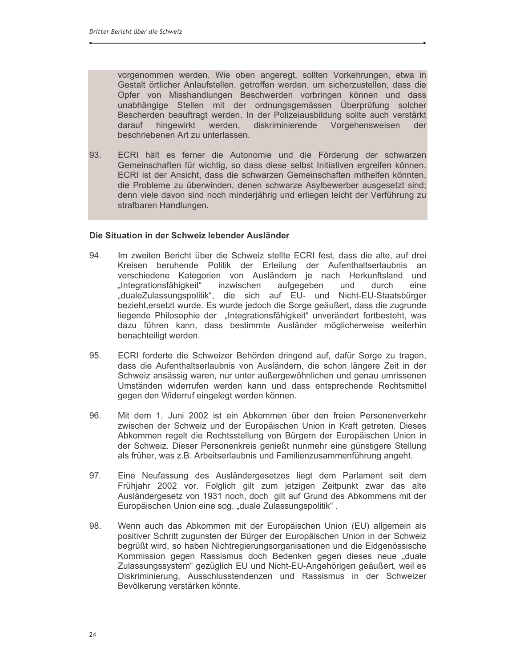vorgenommen werden. Wie oben angeregt, sollten Vorkehrungen, etwa in Gestalt örtlicher Anlaufstellen, getroffen werden, um sicherzustellen, dass die Opfer von Misshandlungen Beschwerden vorbringen können und dass unabhängige Stellen mit der ordnungsgemässen Überprüfung solcher Bescherden beauftragt werden. In der Polizeiausbildung sollte auch verstärkt hingewirkt werden, diskriminierende Vorgehensweisen darauf der beschriebenen Art zu unterlassen.

93. ECRI hält es ferner die Autonomie und die Förderung der schwarzen Gemeinschaften für wichtig, so dass diese selbst Initiativen ergreifen können. ECRI ist der Ansicht, dass die schwarzen Gemeinschaften mithelfen könnten, die Probleme zu überwinden, denen schwarze Asylbewerber ausgesetzt sind; denn viele davon sind noch minderjährig und erliegen leicht der Verführung zu strafbaren Handlungen.

#### Die Situation in der Schweiz lebender Ausländer

- 94. Im zweiten Bericht über die Schweiz stellte ECRI fest, dass die alte, auf drei Kreisen beruhende Politik der Erteilung der Aufenthaltserlaubnis an verschiedene Kategorien von Ausländern je nach Herkunftsland und "Integrationsfähigkeit" inzwischen aufgegeben und durch eine "dualeZulassungspolitik", die sich auf EU- und Nicht-EU-Staatsbürger bezieht, ersetzt wurde. Es wurde jedoch die Sorge geäußert, dass die zugrunde liegende Philosophie der "Integrationsfähigkeit" unverändert fortbesteht, was dazu führen kann, dass bestimmte Ausländer möglicherweise weiterhin benachteiligt werden.
- 95. ECRI forderte die Schweizer Behörden dringend auf, dafür Sorge zu tragen, dass die Aufenthaltserlaubnis von Ausländern, die schon längere Zeit in der Schweiz ansässig waren, nur unter außergewöhnlichen und genau umrissenen Umständen widerrufen werden kann und dass entsprechende Rechtsmittel gegen den Widerruf eingelegt werden können.
- 96. Mit dem 1. Juni 2002 ist ein Abkommen über den freien Personenverkehr zwischen der Schweiz und der Europäischen Union in Kraft getreten. Dieses Abkommen regelt die Rechtsstellung von Bürgern der Europäischen Union in der Schweiz. Dieser Personenkreis genießt nunmehr eine günstigere Stellung als früher, was z.B. Arbeitserlaubnis und Familienzusammenführung angeht.
- Eine Neufassung des Ausländergesetzes liegt dem Parlament seit dem 97. Frühjahr 2002 vor. Folglich gilt zum jetzigen Zeitpunkt zwar das alte Ausländergesetz von 1931 noch, doch gilt auf Grund des Abkommens mit der Europäischen Union eine sog. "duale Zulassungspolitik".
- 98. Wenn auch das Abkommen mit der Europäischen Union (EU) allgemein als positiver Schritt zugunsten der Bürger der Europäischen Union in der Schweiz begrüßt wird, so haben Nichtregierungsorganisationen und die Eidgenössische Kommission gegen Rassismus doch Bedenken gegen dieses neue "duale Zulassungssystem" gezüglich EU und Nicht-EU-Angehörigen geäußert, weil es Diskriminierung, Ausschlusstendenzen und Rassismus in der Schweizer Bevölkerung verstärken könnte.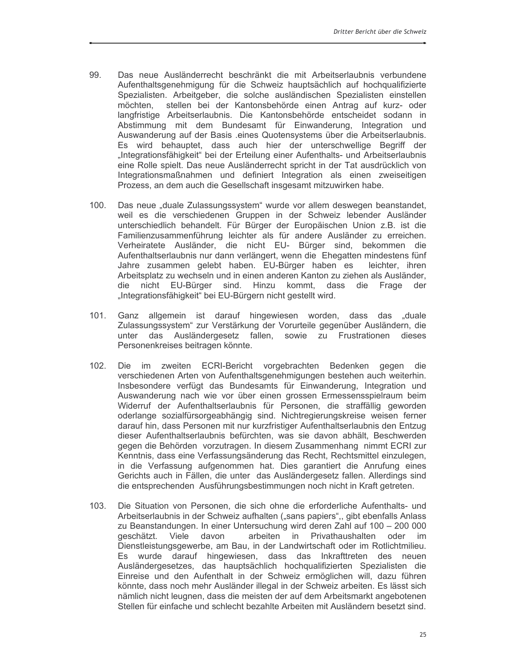- 99. Das neue Ausländerrecht beschränkt die mit Arbeitserlaubnis verbundene Aufenthaltsgenehmigung für die Schweiz hauptsächlich auf hochgualifizierte Spezialisten. Arbeitgeber, die solche ausländischen Spezialisten einstellen möchten, stellen bei der Kantonsbehörde einen Antrag auf kurz- oder langfristige Arbeitserlaubnis. Die Kantonsbehörde entscheidet sodann in Abstimmung mit dem Bundesamt für Einwanderung, Integration und Auswanderung auf der Basis .eines Quotensystems über die Arbeitserlaubnis. Es wird behauptet, dass auch hier der unterschwellige Begriff der "Integrationsfähigkeit" bei der Erteilung einer Aufenthalts- und Arbeitserlaubnis eine Rolle spielt. Das neue Ausländerrecht spricht in der Tat ausdrücklich von Integrationsmaßnahmen und definiert Integration als einen zweiseitigen Prozess, an dem auch die Gesellschaft insgesamt mitzuwirken habe.
- $100.$ Das neue "duale Zulassungssystem" wurde vor allem deswegen beanstandet, weil es die verschiedenen Gruppen in der Schweiz lebender Ausländer unterschiedlich behandelt. Für Bürger der Europäischen Union z.B. ist die Familienzusammenführung leichter als für andere Ausländer zu erreichen. Verheiratete Ausländer, die nicht EU- Bürger sind, bekommen die Aufenthaltserlaubnis nur dann verlängert, wenn die Ehegatten mindestens fünf Jahre zusammen gelebt haben. EU-Bürger haben es leichter, ihren Arbeitsplatz zu wechseln und in einen anderen Kanton zu ziehen als Ausländer, die nicht EU-Bürger sind. Hinzu kommt, dass die Frage der "Integrationsfähigkeit" bei EU-Bürgern nicht gestellt wird.
- Ganz allgemein ist darauf hingewiesen worden, dass das "duale  $101.$ Zulassungssystem" zur Verstärkung der Vorurteile gegenüber Ausländern, die unter das Ausländergesetz fallen, sowie zu Frustrationen dieses Personenkreises beitragen könnte.
- Die im zweiten ECRI-Bericht vorgebrachten Bedenken gegen die  $102.$ verschiedenen Arten von Aufenthaltsgenehmigungen bestehen auch weiterhin. Insbesondere verfügt das Bundesamts für Einwanderung, Integration und Auswanderung nach wie vor über einen grossen Ermessensspielraum beim Widerruf der Aufenthaltserlaubnis für Personen, die straffällig geworden oderlange sozialfürsorgeabhängig sind. Nichtregierungskreise weisen ferner darauf hin, dass Personen mit nur kurzfristiger Aufenthaltserlaubnis den Entzug dieser Aufenthaltserlaubnis befürchten, was sie davon abhält, Beschwerden gegen die Behörden vorzutragen. In diesem Zusammenhang nimmt ECRI zur Kenntnis, dass eine Verfassungsänderung das Recht, Rechtsmittel einzulegen, in die Verfassung aufgenommen hat. Dies garantiert die Anrufung eines Gerichts auch in Fällen, die unter das Ausländergesetz fallen. Allerdings sind die entsprechenden Ausführungsbestimmungen noch nicht in Kraft getreten.
- $103.$ Die Situation von Personen, die sich ohne die erforderliche Aufenthalts- und Arbeitserlaubnis in der Schweiz aufhalten ("sans papiers", gibt ebenfalls Anlass zu Beanstandungen. In einer Untersuchung wird deren Zahl auf 100 - 200 000 geschätzt. Viele davon arbeiten in Privathaushalten oder im Dienstleistungsgewerbe, am Bau, in der Landwirtschaft oder im Rotlichtmilieu. Es wurde darauf hingewiesen, dass das Inkrafttreten des neuen Ausländergesetzes, das hauptsächlich hochqualifizierten Spezialisten die Einreise und den Aufenthalt in der Schweiz ermöglichen will, dazu führen könnte, dass noch mehr Ausländer illegal in der Schweiz arbeiten. Es lässt sich nämlich nicht leugnen, dass die meisten der auf dem Arbeitsmarkt angebotenen Stellen für einfache und schlecht bezahlte Arbeiten mit Ausländern besetzt sind.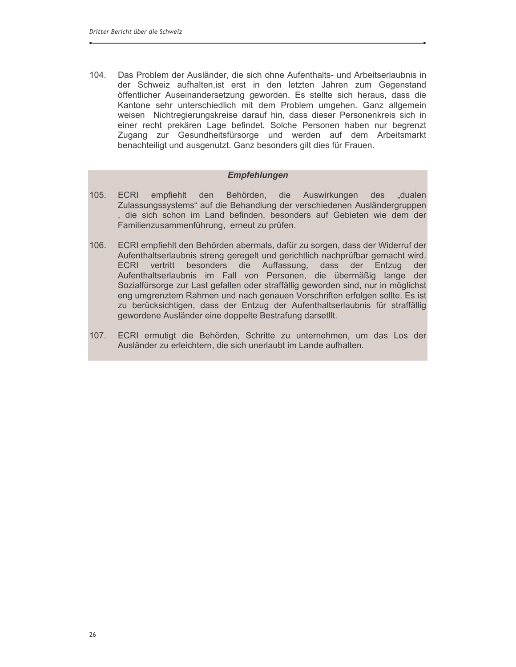Das Problem der Ausländer, die sich ohne Aufenthalts- und Arbeitserlaubnis in 104. der Schweiz aufhalten, ist erst in den letzten Jahren zum Gegenstand öffentlicher Auseinandersetzung geworden. Es stellte sich heraus, dass die Kantone sehr unterschiedlich mit dem Problem umgehen. Ganz allgemein weisen Nichtregierungskreise darauf hin, dass dieser Personenkreis sich in einer recht prekären Lage befindet. Solche Personen haben nur begrenzt Zugang zur Gesundheitsfürsorge und werden auf dem Arbeitsmarkt benachteiligt und ausgenutzt. Ganz besonders gilt dies für Frauen.

#### **Empfehlungen**

- $105.$ **ECRI** empfiehlt den Behörden, die Auswirkungen des "dualen Zulassungssystems" auf die Behandlung der verschiedenen Ausländergruppen , die sich schon im Land befinden, besonders auf Gebieten wie dem der Familienzusammenführung, erneut zu prüfen.
- $106.$ ECRI empfiehlt den Behörden abermals, dafür zu sorgen, dass der Widerruf der Aufenthaltserlaubnis streng geregelt und gerichtlich nachprüfbar gemacht wird. vertritt besonders die Auffassung, dass der Entzug der **ECRI** Aufenthaltserlaubnis im Fall von Personen, die übermäßig lange der Sozialfürsorge zur Last gefallen oder straffällig geworden sind, nur in möglichst eng umgrenztem Rahmen und nach genauen Vorschriften erfolgen sollte. Es ist zu berücksichtigen, dass der Entzug der Aufenthaltserlaubnis für straffällig gewordene Ausländer eine doppelte Bestrafung darsetllt.
- $107.$ ECRI ermutigt die Behörden, Schritte zu unternehmen, um das Los der Ausländer zu erleichtern, die sich unerlaubt im Lande aufhalten.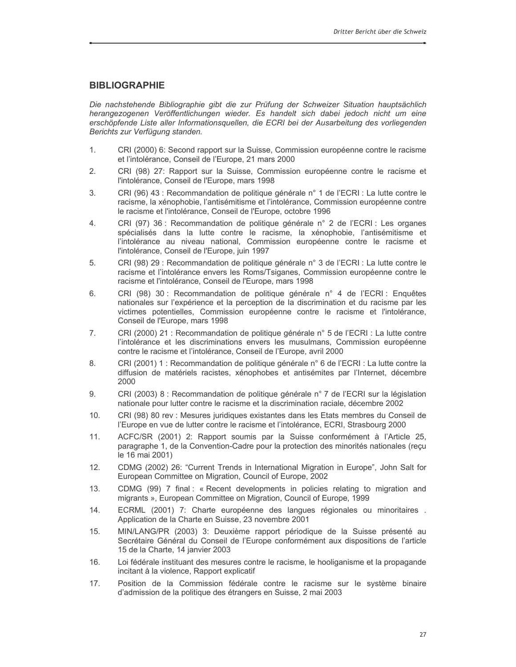#### **BIBLIOGRAPHIE**

Die nachstehende Bibliographie gibt die zur Prüfung der Schweizer Situation hauptsächlich herangezogenen Veröffentlichungen wieder. Es handelt sich dabei jedoch nicht um eine erschöpfende Liste aller Informationsquellen, die ECRI bei der Ausarbeitung des vorliegenden Berichts zur Verfügung standen.

- CRI (2000) 6: Second rapport sur la Suisse, Commission européenne contre le racisme  $1.$ et l'intolérance, Conseil de l'Europe, 21 mars 2000
- $2.$ CRI (98) 27: Rapport sur la Suisse, Commission européenne contre le racisme et l'intolérance, Conseil de l'Europe, mars 1998
- CRI (96) 43 : Recommandation de politique générale n° 1 de l'ECRI : La lutte contre le 3. racisme, la xénophobie, l'antisémitisme et l'intolérance, Commission européenne contre le racisme et l'intolérance, Conseil de l'Europe, octobre 1996
- CRI (97) 36 : Recommandation de politique générale n° 2 de l'ECRI : Les organes 4. spécialisés dans la lutte contre le racisme, la xénophobie, l'antisémitisme et l'intolérance au niveau national, Commission européenne contre le racisme et l'intolérance, Conseil de l'Europe, juin 1997
- 5. CRI (98) 29 : Recommandation de politique générale n° 3 de l'ECRI : La lutte contre le racisme et l'intolérance envers les Roms/Tsiganes, Commission européenne contre le racisme et l'intolérance, Conseil de l'Europe, mars 1998
- 6. CRI (98) 30 : Recommandation de politique générale n° 4 de l'ECRI : Enquêtes nationales sur l'expérience et la perception de la discrimination et du racisme par les victimes potentielles, Commission européenne contre le racisme et l'intolérance, Conseil de l'Europe, mars 1998
- 7. CRI (2000) 21 : Recommandation de politique générale n° 5 de l'ECRI : La lutte contre l'intolérance et les discriminations envers les musulmans, Commission européenne contre le racisme et l'intolérance, Conseil de l'Europe, avril 2000
- 8. CRI (2001) 1 : Recommandation de politique générale n° 6 de l'ECRI : La lutte contre la diffusion de matériels racistes, xénophobes et antisémites par l'Internet, décembre 2000
- 9. CRI (2003) 8 : Recommandation de politique générale n° 7 de l'ECRI sur la législation nationale pour lutter contre le racisme et la discrimination raciale, décembre 2002
- $10.$ CRI (98) 80 rev : Mesures juridiques existantes dans les Etats membres du Conseil de l'Europe en vue de lutter contre le racisme et l'intolérance, ECRI, Strasbourg 2000
- $11.$ ACFC/SR (2001) 2: Rapport soumis par la Suisse conformément à l'Article 25, paragraphe 1, de la Convention-Cadre pour la protection des minorités nationales (recu le 16 mai 2001)
- $12.$ CDMG (2002) 26: "Current Trends in International Migration in Europe", John Salt for European Committee on Migration, Council of Europe, 2002
- $13.$ CDMG (99) 7 final: « Recent developments in policies relating to migration and migrants », European Committee on Migration, Council of Europe, 1999
- $14.$ ECRML (2001) 7: Charte européenne des langues régionales ou minoritaires. Application de la Charte en Suisse, 23 novembre 2001
- $15.$ MIN/LANG/PR (2003) 3: Deuxième rapport périodique de la Suisse présenté au Secrétaire Général du Conseil de l'Europe conformément aux dispositions de l'article 15 de la Charte, 14 janvier 2003
- Loi fédérale instituant des mesures contre le racisme, le hooliganisme et la propagande  $16.$ incitant à la violence, Rapport explicatif
- $17.$ Position de la Commission fédérale contre le racisme sur le système binaire d'admission de la politique des étrangers en Suisse, 2 mai 2003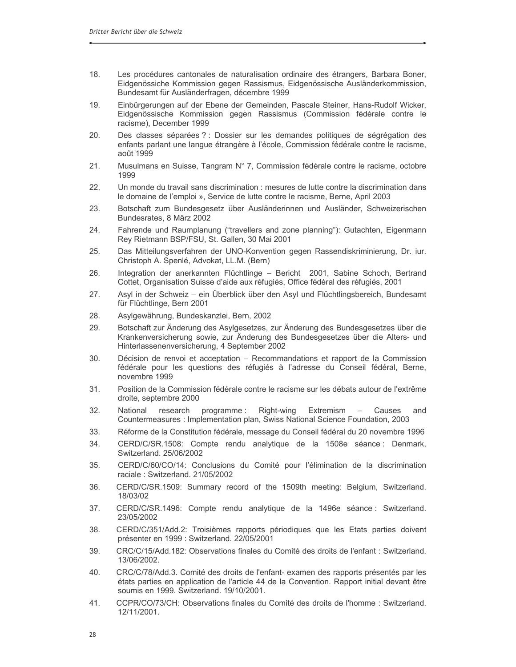- $18.$ Les procédures cantonales de naturalisation ordinaire des étrangers, Barbara Boner, Eidgenössiche Kommission gegen Rassismus, Eidgenössische Ausländerkommission, Bundesamt für Ausländerfragen, décembre 1999
- 19. Einbürgerungen auf der Ebene der Gemeinden, Pascale Steiner, Hans-Rudolf Wicker, Eidgenössische Kommission gegen Rassismus (Commission fédérale contre le racisme), December 1999
- 20. Des classes séparées ? : Dossier sur les demandes politiques de ségrégation des enfants parlant une langue étrangère à l'école. Commission fédérale contre le racisme. août 1999
- $21.$ Musulmans en Suisse, Tangram N° 7, Commission fédérale contre le racisme, octobre 1999
- $22<sub>1</sub>$ Un monde du travail sans discrimination : mesures de lutte contre la discrimination dans le domaine de l'emploi ». Service de lutte contre le racisme, Berne, April 2003
- 23. Botschaft zum Bundesgesetz über Ausländerinnen und Ausländer, Schweizerischen Bundesrates, 8 März 2002
- 24. Fahrende und Raumplanung ("travellers and zone planning"): Gutachten, Eigenmann Rey Rietmann BSP/FSU, St. Gallen, 30 Mai 2001
- 25. Das Mitteilungsverfahren der UNO-Konvention gegen Rassendiskriminierung, Dr. iur. Christoph A. Spenlé, Advokat, LL.M. (Bern)
- Integration der anerkannten Flüchtlinge Bericht 2001, Sabine Schoch, Bertrand 26. Cottet, Organisation Suisse d'aide aux réfugiés, Office fédéral des réfugiés, 2001
- 27 Asyl in der Schweiz – ein Überblick über den Asyl und Flüchtlingsbereich, Bundesamt für Flüchtlinge, Bern 2001
- 28. Asylgewährung, Bundeskanzlei, Bern, 2002
- 29. Botschaft zur Änderung des Asylgesetzes, zur Änderung des Bundesgesetzes über die Krankenversicherung sowie, zur Änderung des Bundesgesetzes über die Alters- und Hinterlassenenversicherung, 4 September 2002
- 30. Décision de renvoi et acceptation – Recommandations et rapport de la Commission fédérale pour les questions des réfugiés à l'adresse du Conseil fédéral, Berne, novembre 1999
- $31.$ Position de la Commission fédérale contre le racisme sur les débats autour de l'extrême droite, septembre 2000
- $32.$ Causes National research programme: Right-wing Extremism and Countermeasures : Implementation plan, Swiss National Science Foundation, 2003
- 33. Réforme de la Constitution fédérale, message du Conseil fédéral du 20 novembre 1996
- CERD/C/SR.1508: Compte rendu analytique de la 1508e séance : Denmark, 34. Switzerland. 25/06/2002
- $35<sub>1</sub>$ CERD/C/60/CO/14: Conclusions du Comité pour l'élimination de la discrimination raciale: Switzerland. 21/05/2002
- 36. CERD/C/SR.1509: Summary record of the 1509th meeting: Belgium, Switzerland. 18/03/02
- 37. CERD/C/SR.1496: Compte rendu analytique de la 1496e séance : Switzerland. 23/05/2002
- 38. CERD/C/351/Add.2: Troisièmes rapports périodiques que les Etats parties doivent présenter en 1999 : Switzerland. 22/05/2001
- 39. CRC/C/15/Add.182: Observations finales du Comité des droits de l'enfant : Switzerland. 13/06/2002.
- CRC/C/78/Add.3. Comité des droits de l'enfant- examen des rapports présentés par les 40. états parties en application de l'article 44 de la Convention. Rapport initial devant être soumis en 1999. Switzerland. 19/10/2001.
- 41. CCPR/CO/73/CH: Observations finales du Comité des droits de l'homme : Switzerland. 12/11/2001.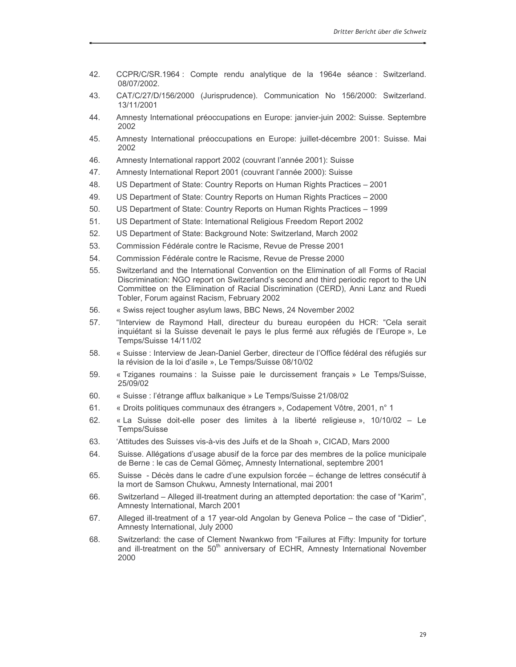- 42. CCPR/C/SR.1964 : Compte rendu analytique de la 1964e séance : Switzerland. 08/07/2002.
- 43. CAT/C/27/D/156/2000 (Jurisprudence). Communication No 156/2000: Switzerland. 13/11/2001
- Amnesty International préoccupations en Europe: janvier-juin 2002: Suisse. Septembre 44. 2002
- 45. Amnesty International préoccupations en Europe: juillet-décembre 2001: Suisse. Mai 2002
- 46. Amnesty International rapport 2002 (couvrant l'année 2001): Suisse
- 47. Amnesty International Report 2001 (couvrant l'année 2000): Suisse
- 48. US Department of State: Country Reports on Human Rights Practices - 2001
- 49. US Department of State: Country Reports on Human Rights Practices - 2000
- 50. US Department of State: Country Reports on Human Rights Practices - 1999
- $51.$ US Department of State: International Religious Freedom Report 2002
- 52. US Department of State: Background Note: Switzerland, March 2002
- 53. Commission Fédérale contre le Racisme, Revue de Presse 2001
- 54 Commission Fédérale contre le Racisme. Revue de Presse 2000
- 55. Switzerland and the International Convention on the Elimination of all Forms of Racial Discrimination: NGO report on Switzerland's second and third periodic report to the UN Committee on the Elimination of Racial Discrimination (CERD), Anni Lanz and Ruedi Tobler, Forum against Racism, February 2002
- 56. « Swiss reject tougher asylum laws, BBC News, 24 November 2002
- "Interview de Raymond Hall, directeur du bureau européen du HCR: "Cela serait 57. inquiétant si la Suisse devenait le pays le plus fermé aux réfugiés de l'Europe », Le Temps/Suisse 14/11/02
- 58. « Suisse : Interview de Jean-Daniel Gerber, directeur de l'Office fédéral des réfugiés sur la révision de la loi d'asile », Le Temps/Suisse 08/10/02
- 59. « Tziganes roumains : la Suisse paie le durcissement français » Le Temps/Suisse, 25/09/02
- 60. « Suisse : l'étrange afflux balkanique » Le Temps/Suisse 21/08/02
- 61. « Droits politiques communaux des étrangers », Codapement Vôtre, 2001, n° 1
- « La Suisse doit-elle poser des limites à la liberté religieuse », 10/10/02 Le 62. Temps/Suisse
- 63. 'Attitudes des Suisses vis-à-vis des Juifs et de la Shoah », CICAD, Mars 2000
- Suisse. Allégations d'usage abusif de la force par des membres de la police municipale 64. de Berne : le cas de Cemal Gömeç, Amnesty International, septembre 2001
- Suisse Décès dans le cadre d'une expulsion forcée échange de lettres consécutif à 65. la mort de Samson Chukwu, Amnesty International, mai 2001
- 66. Switzerland – Alleged ill-treatment during an attempted deportation: the case of "Karim", Amnesty International, March 2001
- Alleged ill-treatment of a 17 year-old Angolan by Geneva Police the case of "Didier", 67. Amnesty International, July 2000
- Switzerland: the case of Clement Nwankwo from "Failures at Fifty: Impunity for torture 68. and ill-treatment on the 50<sup>th</sup> anniversary of ECHR, Amnesty International November 2000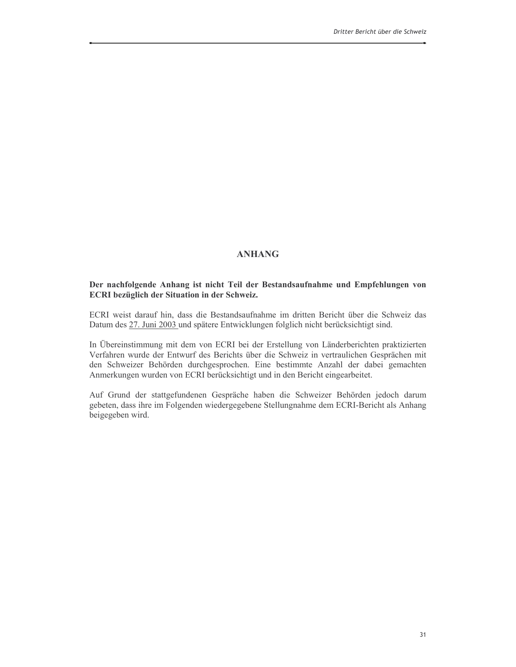#### **ANHANG**

#### Der nachfolgende Anhang ist nicht Teil der Bestandsaufnahme und Empfehlungen von **ECRI** bezüglich der Situation in der Schweiz.

ECRI weist darauf hin, dass die Bestandsaufnahme im dritten Bericht über die Schweiz das Datum des 27. Juni 2003 und spätere Entwicklungen folglich nicht berücksichtigt sind.

In Übereinstimmung mit dem von ECRI bei der Erstellung von Länderberichten praktizierten Verfahren wurde der Entwurf des Berichts über die Schweiz in vertraulichen Gesprächen mit den Schweizer Behörden durchgesprochen. Eine bestimmte Anzahl der dabei gemachten Anmerkungen wurden von ECRI berücksichtigt und in den Bericht eingearbeitet.

Auf Grund der stattgefundenen Gespräche haben die Schweizer Behörden jedoch darum gebeten, dass ihre im Folgenden wiedergegebene Stellungnahme dem ECRI-Bericht als Anhang beigegeben wird.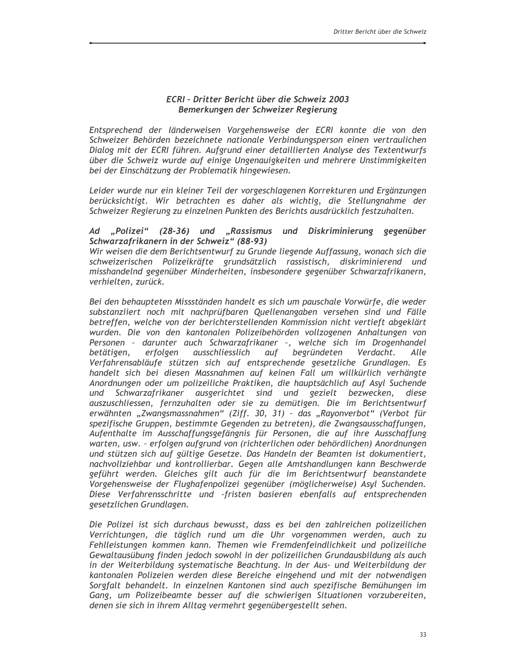#### ECRI - Dritter Bericht über die Schweiz 2003 Bemerkungen der Schweizer Regierung

Entsprechend der länderweisen Vorgehensweise der ECRI konnte die von den Schweizer Behörden bezeichnete nationale Verbindungsperson einen vertraulichen Dialog mit der ECRI führen. Aufgrund einer detaillierten Analyse des Textentwurfs über die Schweiz wurde auf einige Ungenauigkeiten und mehrere Unstimmigkeiten bei der Einschätzung der Problematik hingewiesen.

Leider wurde nur ein kleiner Teil der vorgeschlagenen Korrekturen und Ergänzungen berücksichtigt. Wir betrachten es daher als wichtig, die Stellungnahme der Schweizer Regierung zu einzelnen Punkten des Berichts ausdrücklich festzuhalten.

#### Ad "Polizei" (28-36) und "Rassismus und Diskriminierung gegenüber Schwarzafrikanern in der Schweiz" (88-93)

Wir weisen die dem Berichtsentwurf zu Grunde liegende Auffassung, wonach sich die schweizerischen Polizeikräfte grundsätzlich rassistisch, diskriminierend und misshandelnd gegenüber Minderheiten, insbesondere gegenüber Schwarzafrikanern, verhielten, zurück.

Bei den behaupteten Missständen handelt es sich um pauschale Vorwürfe, die weder substanziiert noch mit nachprüfbaren Quellenangaben versehen sind und Fälle betreffen, welche von der berichterstellenden Kommission nicht vertieft abgeklärt wurden. Die von den kantonalen Polizeibehörden vollzogenen Anhaltungen von Personen - darunter auch Schwarzafrikaner -, welche sich im Drogenhandel erfolgen ausschliesslich begründeten Verdacht. betätigen, auf Alle Verfahrensabläufe stützen sich auf entsprechende gesetzliche Grundlagen. Es handelt sich bei diesen Massnahmen auf keinen Fall um willkürlich verhängte Anordnungen oder um polizeiliche Praktiken, die hauptsächlich auf Asyl Suchende Schwarzafrikaner ausgerichtet sind und gezielt bezwecken, diese und auszuschliessen, fernzuhalten oder sie zu demütigen. Die im Berichtsentwurf erwähnten "Zwangsmassnahmen" (Ziff. 30, 31) - das "Rayonverbot" (Verbot für spezifische Gruppen, bestimmte Gegenden zu betreten), die Zwangsausschaffungen, Aufenthalte im Ausschaffungsgefängnis für Personen, die auf ihre Ausschaffung warten, usw. - erfolgen aufgrund von (richterlichen oder behördlichen) Anordnungen und stützen sich auf gültige Gesetze. Das Handeln der Beamten ist dokumentiert, nachvollziehbar und kontrollierbar. Gegen alle Amtshandlungen kann Beschwerde geführt werden. Gleiches gilt auch für die im Berichtsentwurf beanstandete Vorgehensweise der Flughafenpolizei gegenüber (möglicherweise) Asyl Suchenden. Diese Verfahrensschritte und -fristen basieren ebenfalls auf entsprechenden gesetzlichen Grundlagen.

Die Polizei ist sich durchaus bewusst, dass es bei den zahlreichen polizeilichen Verrichtungen, die täglich rund um die Uhr vorgenommen werden, auch zu Fehlleistungen kommen kann. Themen wie Fremdenfeindlichkeit und polizeiliche Gewaltausübung finden jedoch sowohl in der polizeilichen Grundausbildung als auch in der Weiterbildung systematische Beachtung. In der Aus- und Weiterbildung der kantonalen Polizeien werden diese Bereiche eingehend und mit der notwendigen Sorgfalt behandelt. In einzelnen Kantonen sind auch spezifische Bemühungen im Gang, um Polizeibeamte besser auf die schwierigen Situationen vorzubereiten, denen sie sich in ihrem Alltag vermehrt gegenübergestellt sehen.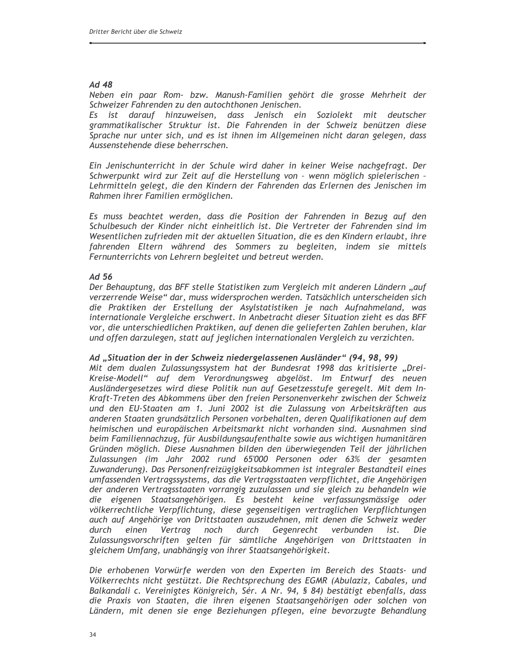#### Ad 48

Neben ein paar Rom- bzw. Manush-Familien gehört die grosse Mehrheit der Schweizer Fahrenden zu den autochthonen Jenischen.

Es ist darauf hinzuweisen, dass Jenisch ein Soziolekt mit deutscher grammatikalischer Struktur ist. Die Fahrenden in der Schweiz benützen diese Sprache nur unter sich, und es ist ihnen im Allgemeinen nicht daran gelegen, dass Aussenstehende diese beherrschen.

Ein Jenischunterricht in der Schule wird daher in keiner Weise nachgefragt. Der Schwerpunkt wird zur Zeit auf die Herstellung von - wenn möglich spielerischen -Lehrmitteln gelegt, die den Kindern der Fahrenden das Erlernen des Jenischen im Rahmen ihrer Familien ermöglichen.

Es muss beachtet werden, dass die Position der Fahrenden in Bezug auf den Schulbesuch der Kinder nicht einheitlich ist. Die Vertreter der Fahrenden sind im Wesentlichen zufrieden mit der aktuellen Situation, die es den Kindern erlaubt, ihre fahrenden Eltern während des Sommers zu begleiten, indem sie mittels Fernunterrichts von Lehrern begleitet und betreut werden.

#### $Ad56$

Der Behauptung, das BFF stelle Statistiken zum Vergleich mit anderen Ländern "auf verzerrende Weise" dar, muss widersprochen werden. Tatsächlich unterscheiden sich die Praktiken der Erstellung der Asylstatistiken je nach Aufnahmeland, was internationale Vergleiche erschwert. In Anbetracht dieser Situation zieht es das BFF vor, die unterschiedlichen Praktiken, auf denen die gelieferten Zahlen beruhen, klar und offen darzulegen, statt auf jeglichen internationalen Vergleich zu verzichten.

#### Ad "Situation der in der Schweiz niedergelassenen Ausländer" (94, 98, 99)

Mit dem dualen Zulassungssystem hat der Bundesrat 1998 das kritisierte "Drei-Kreise-Modell" auf dem Verordnungsweg abgelöst. Im Entwurf des neuen Ausländergesetzes wird diese Politik nun auf Gesetzesstufe geregelt. Mit dem In-Kraft-Treten des Abkommens über den freien Personenverkehr zwischen der Schweiz und den EU-Staaten am 1. Juni 2002 ist die Zulassung von Arbeitskräften aus anderen Staaten grundsätzlich Personen vorbehalten, deren Qualifikationen auf dem heimischen und europäischen Arbeitsmarkt nicht vorhanden sind. Ausnahmen sind beim Familiennachzug, für Ausbildungsaufenthalte sowie aus wichtigen humanitären Gründen möglich. Diese Ausnahmen bilden den überwiegenden Teil der jährlichen Zulassungen (im Jahr 2002 rund 65'000 Personen oder 63% der gesamten Zuwanderung). Das Personenfreizügigkeitsabkommen ist integraler Bestandteil eines umfassenden Vertragssystems, das die Vertragsstaaten verpflichtet, die Angehörigen der anderen Vertragsstaaten vorrangig zuzulassen und sie gleich zu behandeln wie die eigenen Staatsangehörigen. Es besteht keine verfassungsmässige oder völkerrechtliche Verpflichtung, diese gegenseitigen vertraglichen Verpflichtungen auch auf Angehörige von Drittstaaten auszudehnen, mit denen die Schweiz weder durch einen Vertrag noch durch Gegenrecht verbunden ist. Die Zulassungsvorschriften gelten für sämtliche Angehörigen von Drittstaaten in gleichem Umfang, unabhängig von ihrer Staatsangehörigkeit.

Die erhobenen Vorwürfe werden von den Experten im Bereich des Staats- und Völkerrechts nicht gestützt. Die Rechtsprechung des EGMR (Abulaziz, Cabales, und Balkandali c. Vereinigtes Königreich, Sér. A Nr. 94, § 84) bestätigt ebenfalls, dass die Praxis von Staaten, die ihren eigenen Staatsangehörigen oder solchen von Ländern, mit denen sie enge Beziehungen pflegen, eine bevorzugte Behandlung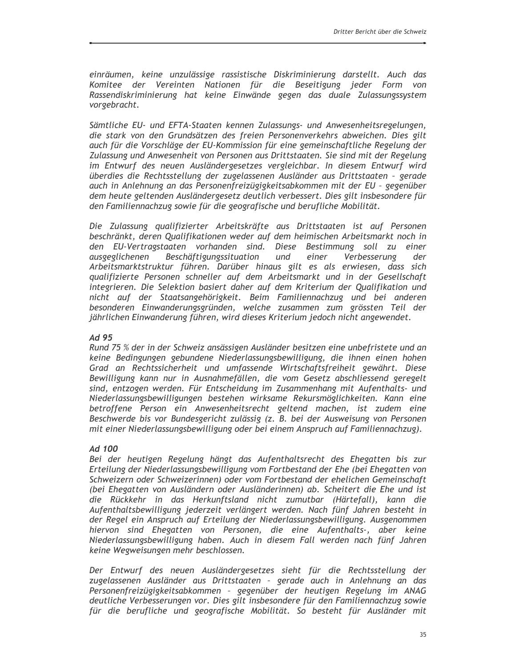einräumen, keine unzulässige rassistische Diskriminierung darstellt. Auch das Komitee der Vereinten Nationen für die Beseitigung jeder Form von Rassendiskriminierung hat keine Einwände gegen das duale Zulassungssystem vorgebracht.

Sämtliche EU- und EFTA-Staaten kennen Zulassungs- und Anwesenheitsregelungen, die stark von den Grundsätzen des freien Personenverkehrs abweichen. Dies gilt auch für die Vorschläge der EU-Kommission für eine gemeinschaftliche Regelung der Zulassung und Anwesenheit von Personen aus Drittstaaten. Sie sind mit der Regelung im Entwurf des neuen Ausländergesetzes vergleichbar. In diesem Entwurf wird überdies die Rechtsstellung der zugelassenen Ausländer aus Drittstaaten - gerade auch in Anlehnung an das Personenfreizügigkeitsabkommen mit der EU - gegenüber dem heute geltenden Ausländergesetz deutlich verbessert. Dies gilt insbesondere für den Familiennachzug sowie für die geografische und berufliche Mobilität.

Die Zulassung qualifizierter Arbeitskräfte aus Drittstaaten ist auf Personen beschränkt, deren Qualifikationen weder auf dem heimischen Arbeitsmarkt noch in den EU-Vertragstaaten vorhanden sind. Diese Bestimmung soll zu einer Verbesserung ausgeglichenen Beschäftigungssituation und einer der Arbeitsmarktstruktur führen. Darüber hinaus gilt es als erwiesen, dass sich qualifizierte Personen schneller auf dem Arbeitsmarkt und in der Gesellschaft integrieren. Die Selektion basiert daher auf dem Kriterium der Qualifikation und nicht auf der Staatsangehörigkeit. Beim Familiennachzug und bei anderen besonderen Einwanderungsgründen, welche zusammen zum grössten Teil der jährlichen Einwanderung führen, wird dieses Kriterium jedoch nicht angewendet.

#### Ad 95

Rund 75 % der in der Schweiz ansässigen Ausländer besitzen eine unbefristete und an keine Bedingungen gebundene Niederlassungsbewilligung, die ihnen einen hohen Grad an Rechtssicherheit und umfassende Wirtschaftsfreiheit gewährt. Diese Bewilligung kann nur in Ausnahmefällen, die vom Gesetz abschliessend geregelt sind, entzogen werden. Für Entscheidung im Zusammenhang mit Aufenthalts- und Niederlassungsbewilligungen bestehen wirksame Rekursmöglichkeiten. Kann eine betroffene Person ein Anwesenheitsrecht geltend machen, ist zudem eine Beschwerde bis vor Bundesgericht zulässig (z. B. bei der Ausweisung von Personen mit einer Niederlassungsbewilligung oder bei einem Anspruch auf Familiennachzug).

#### Ad 100

Bei der heutigen Regelung hängt das Aufenthaltsrecht des Ehegatten bis zur Erteilung der Niederlassungsbewilligung vom Fortbestand der Ehe (bei Ehegatten von Schweizern oder Schweizerinnen) oder vom Fortbestand der ehelichen Gemeinschaft (bei Ehegatten von Ausländern oder Ausländerinnen) ab. Scheitert die Ehe und ist die Rückkehr in das Herkunftsland nicht zumutbar (Härtefall), kann die Aufenthaltsbewilligung jederzeit verlängert werden. Nach fünf Jahren besteht in der Regel ein Anspruch auf Erteilung der Niederlassungsbewilligung. Ausgenommen hiervon sind Ehegatten von Personen, die eine Aufenthalts-, aber keine Niederlassungsbewilligung haben. Auch in diesem Fall werden nach fünf Jahren keine Wegweisungen mehr beschlossen.

Der Entwurf des neuen Ausländergesetzes sieht für die Rechtsstellung der zugelassenen Ausländer aus Drittstaaten - gerade auch in Anlehnung an das Personenfreizügigkeitsabkommen - gegenüber der heutigen Regelung im ANAG deutliche Verbesserungen vor. Dies gilt insbesondere für den Familiennachzug sowie für die berufliche und geografische Mobilität. So besteht für Ausländer mit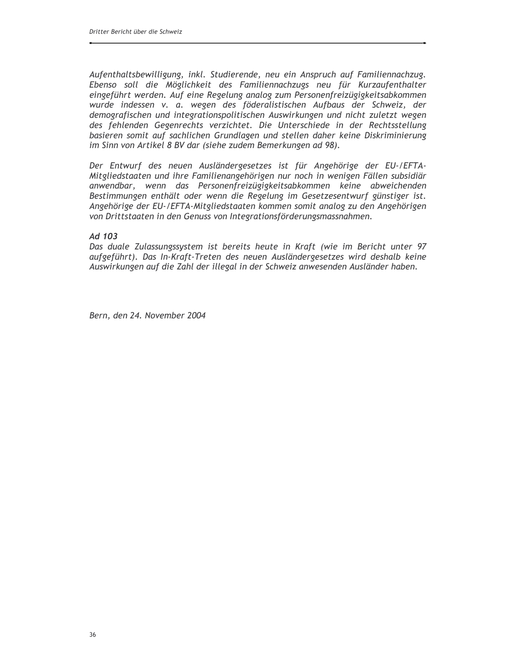Aufenthaltsbewilligung, inkl. Studierende, neu ein Anspruch auf Familiennachzug. Ebenso soll die Möglichkeit des Familiennachzugs neu für Kurzaufenthalter eingeführt werden. Auf eine Regelung analog zum Personenfreizügigkeitsabkommen wurde indessen v. a. wegen des föderalistischen Aufbaus der Schweiz, der demografischen und integrationspolitischen Auswirkungen und nicht zuletzt wegen des fehlenden Gegenrechts verzichtet. Die Unterschiede in der Rechtsstellung basieren somit auf sachlichen Grundlagen und stellen daher keine Diskriminierung im Sinn von Artikel 8 BV dar (siehe zudem Bemerkungen ad 98).

Der Entwurf des neuen Ausländergesetzes ist für Angehörige der EU-/EFTA-Mitgliedstaaten und ihre Familienangehörigen nur noch in wenigen Fällen subsidiär anwendbar, wenn das Personenfreizügigkeitsabkommen keine abweichenden Bestimmungen enthält oder wenn die Regelung im Gesetzesentwurf günstiger ist. Angehörige der EU-/EFTA-Mitgliedstaaten kommen somit analog zu den Angehörigen von Drittstaaten in den Genuss von Integrationsförderungsmassnahmen.

#### $Ad$  103

Das duale Zulassungssystem ist bereits heute in Kraft (wie im Bericht unter 97 aufgeführt). Das In-Kraft-Treten des neuen Ausländergesetzes wird deshalb keine Auswirkungen auf die Zahl der illegal in der Schweiz anwesenden Ausländer haben.

Bern, den 24. November 2004